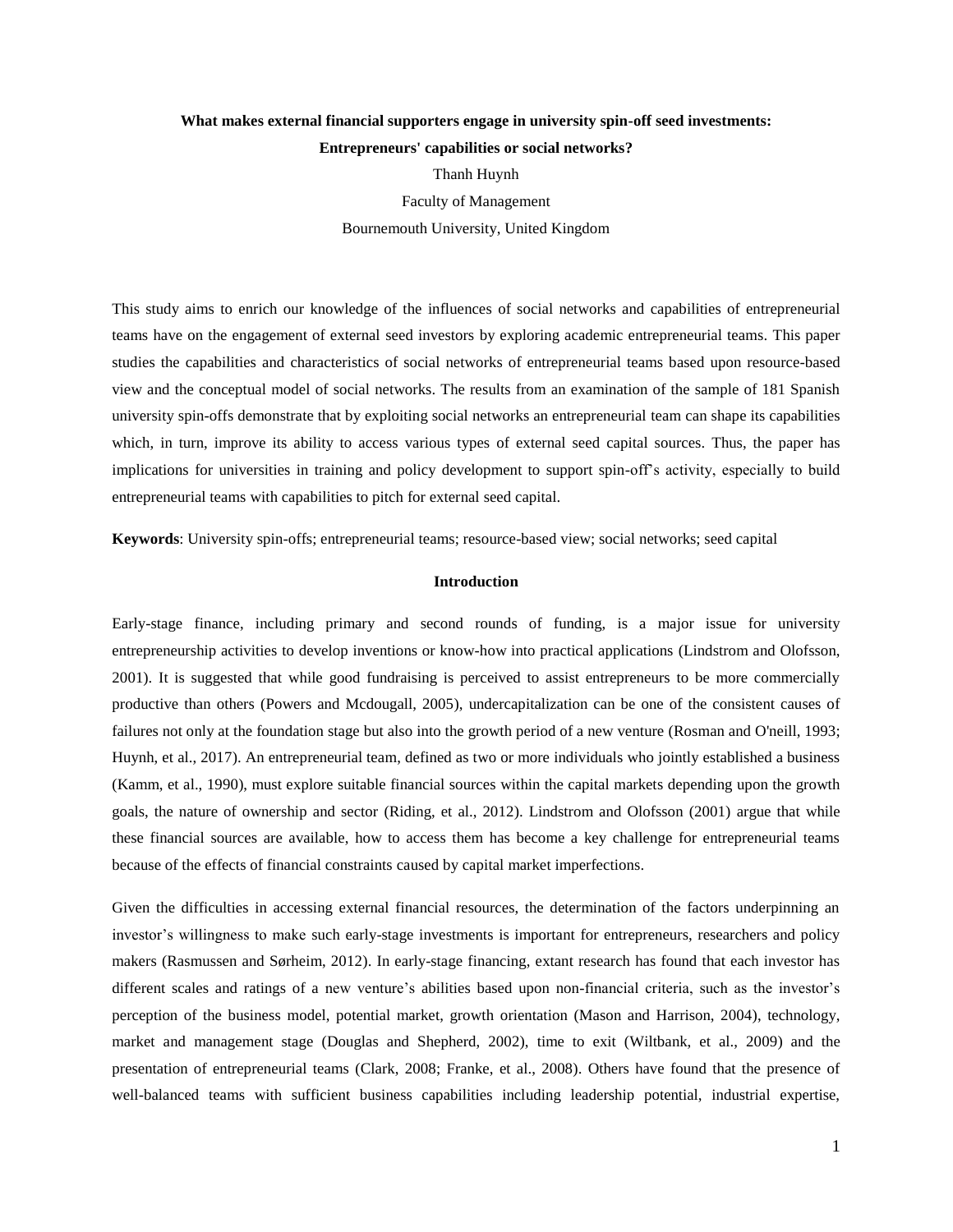# **What makes external financial supporters engage in university spin-off seed investments: Entrepreneurs' capabilities or social networks?**

Thanh Huynh

Faculty of Management

Bournemouth University, United Kingdom

This study aims to enrich our knowledge of the influences of social networks and capabilities of entrepreneurial teams have on the engagement of external seed investors by exploring academic entrepreneurial teams. This paper studies the capabilities and characteristics of social networks of entrepreneurial teams based upon resource-based view and the conceptual model of social networks. The results from an examination of the sample of 181 Spanish university spin-offs demonstrate that by exploiting social networks an entrepreneurial team can shape its capabilities which, in turn, improve its ability to access various types of external seed capital sources. Thus, the paper has implications for universities in training and policy development to support spin-off's activity, especially to build entrepreneurial teams with capabilities to pitch for external seed capital.

**Keywords**: University spin-offs; entrepreneurial teams; resource-based view; social networks; seed capital

# **Introduction**

Early-stage finance, including primary and second rounds of funding, is a major issue for university entrepreneurship activities to develop inventions or know-how into practical applications [\(Lindstrom and Olofsson,](#page-19-0)  [2001\)](#page-19-0). It is suggested that while good fundraising is perceived to assist entrepreneurs to be more commercially productive than others [\(Powers and Mcdougall, 2005\)](#page-20-0), undercapitalization can be one of the consistent causes of failures not only at the foundation stage but also into the growth period of a new venture [\(Rosman and O'neill, 1993;](#page-20-1) [Huynh, et al., 2017\)](#page-18-0). An entrepreneurial team, defined as two or more individuals who jointly established a business [\(Kamm, et al., 1990\)](#page-18-1), must explore suitable financial sources within the capital markets depending upon the growth goals, the nature of ownership and sector [\(Riding, et al., 2012\)](#page-20-2). [Lindstrom and Olofsson \(2001\)](#page-19-0) argue that while these financial sources are available, how to access them has become a key challenge for entrepreneurial teams because of the effects of financial constraints caused by capital market imperfections.

Given the difficulties in accessing external financial resources, the determination of the factors underpinning an investor's willingness to make such early-stage investments is important for entrepreneurs, researchers and policy makers [\(Rasmussen and Sørheim, 2012\)](#page-20-3). In early-stage financing, extant research has found that each investor has different scales and ratings of a new venture's abilities based upon non-financial criteria, such as the investor's perception of the business model, potential market, growth orientation [\(Mason and Harrison, 2004\)](#page-19-1), technology, market and management stage [\(Douglas and Shepherd, 2002\)](#page-17-0), time to exit [\(Wiltbank, et al., 2009\)](#page-21-0) and the presentation of entrepreneurial teams [\(Clark, 2008;](#page-17-1) [Franke, et al., 2008\)](#page-17-2). Others have found that the presence of well-balanced teams with sufficient business capabilities including leadership potential, industrial expertise,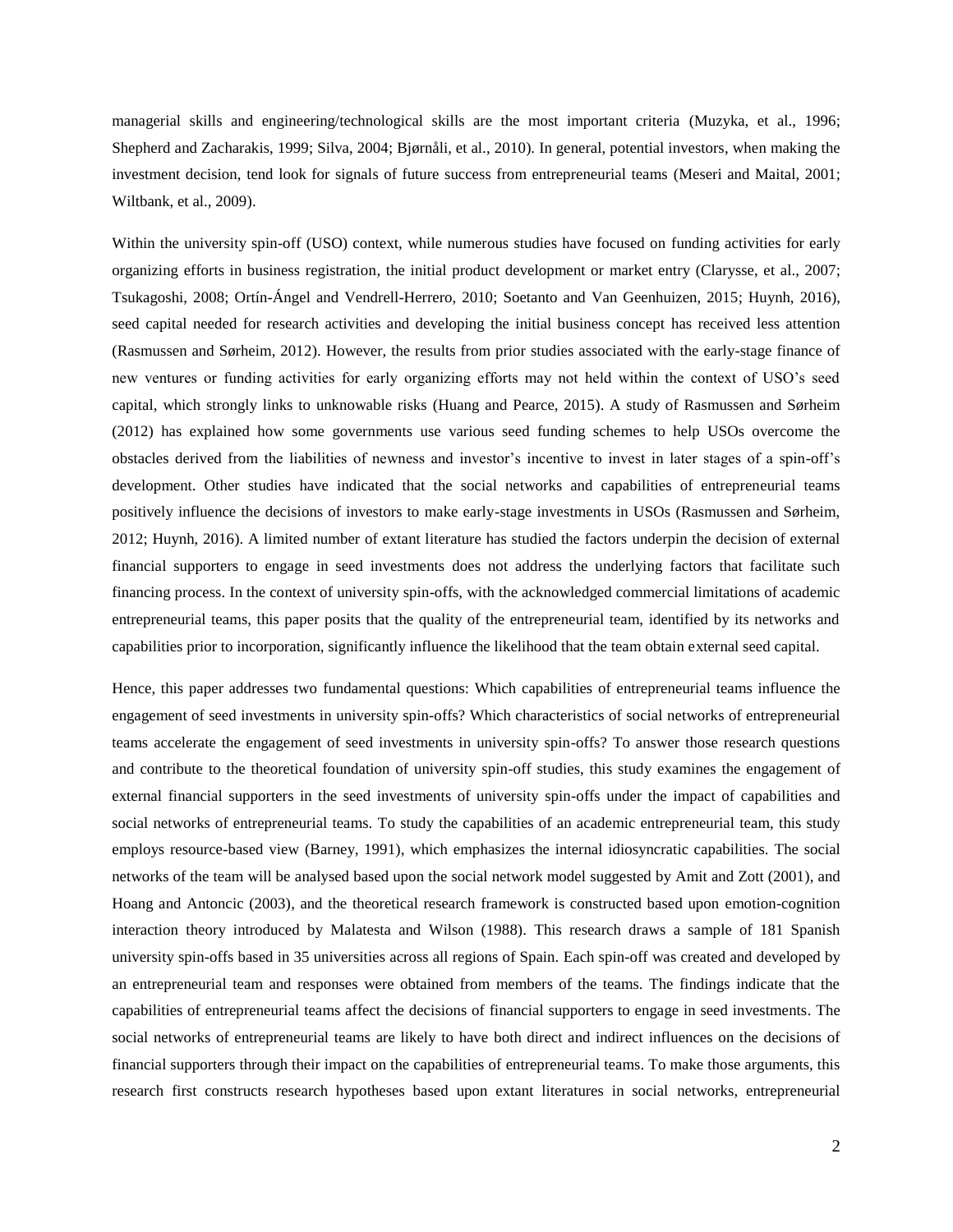managerial skills and engineering/technological skills are the most important criteria [\(Muzyka, et al., 1996;](#page-19-2) [Shepherd and Zacharakis, 1999;](#page-20-4) [Silva, 2004;](#page-20-5) [Bjørnåli, et al., 2010\)](#page-16-0). In general, potential investors, when making the investment decision, tend look for signals of future success from entrepreneurial teams [\(Meseri and Maital, 2001;](#page-19-3) [Wiltbank, et al., 2009\)](#page-21-0).

Within the university spin-off (USO) context, while numerous studies have focused on funding activities for early organizing efforts in business registration, the initial product development or market entry [\(Clarysse, et al., 2007;](#page-17-3) [Tsukagoshi, 2008;](#page-20-6) [Ortín-Ángel and Vendrell-Herrero, 2010;](#page-19-4) [Soetanto and Van Geenhuizen, 2015;](#page-20-7) [Huynh, 2016\)](#page-18-2), seed capital needed for research activities and developing the initial business concept has received less attention [\(Rasmussen and Sørheim, 2012\)](#page-20-3). However, the results from prior studies associated with the early-stage finance of new ventures or funding activities for early organizing efforts may not held within the context of USO's seed capital, which strongly links to unknowable risks [\(Huang and Pearce, 2015\)](#page-18-3). A study of [Rasmussen and Sørheim](#page-20-3)  (2012) has explained how some governments use various seed funding schemes to help USOs overcome the obstacles derived from the liabilities of newness and investor's incentive to invest in later stages of a spin-off's development. Other studies have indicated that the social networks and capabilities of entrepreneurial teams positively influence the decisions of investors to make early-stage investments in USOs [\(Rasmussen and Sørheim,](#page-20-8)  [2012;](#page-20-8) [Huynh, 2016\)](#page-18-2). A limited number of extant literature has studied the factors underpin the decision of external financial supporters to engage in seed investments does not address the underlying factors that facilitate such financing process. In the context of university spin-offs, with the acknowledged commercial limitations of academic entrepreneurial teams, this paper posits that the quality of the entrepreneurial team, identified by its networks and capabilities prior to incorporation, significantly influence the likelihood that the team obtain external seed capital.

Hence, this paper addresses two fundamental questions: Which capabilities of entrepreneurial teams influence the engagement of seed investments in university spin-offs? Which characteristics of social networks of entrepreneurial teams accelerate the engagement of seed investments in university spin-offs? To answer those research questions and contribute to the theoretical foundation of university spin-off studies, this study examines the engagement of external financial supporters in the seed investments of university spin-offs under the impact of capabilities and social networks of entrepreneurial teams. To study the capabilities of an academic entrepreneurial team, this study employs resource-based view [\(Barney, 1991\)](#page-16-1), which emphasizes the internal idiosyncratic capabilities. The social networks of the team will be analysed based upon the social network model suggested by [Amit and Zott \(2001\),](#page-16-2) and [Hoang and Antoncic \(2003\),](#page-18-4) and the theoretical research framework is constructed based upon emotion-cognition interaction theory introduced by [Malatesta and Wilson \(1988\).](#page-19-5) This research draws a sample of 181 Spanish university spin-offs based in 35 universities across all regions of Spain. Each spin-off was created and developed by an entrepreneurial team and responses were obtained from members of the teams. The findings indicate that the capabilities of entrepreneurial teams affect the decisions of financial supporters to engage in seed investments. The social networks of entrepreneurial teams are likely to have both direct and indirect influences on the decisions of financial supporters through their impact on the capabilities of entrepreneurial teams. To make those arguments, this research first constructs research hypotheses based upon extant literatures in social networks, entrepreneurial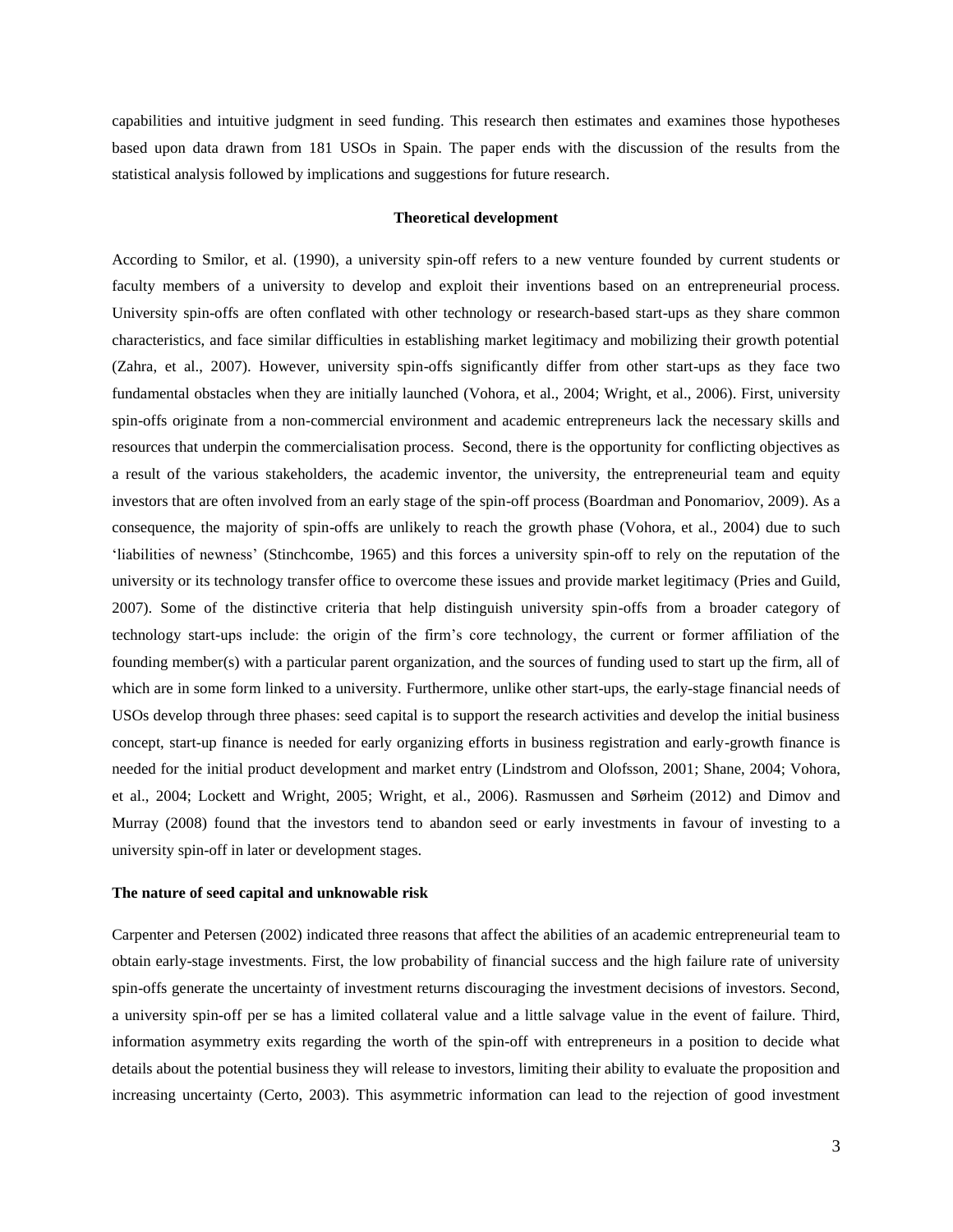capabilities and intuitive judgment in seed funding. This research then estimates and examines those hypotheses based upon data drawn from 181 USOs in Spain. The paper ends with the discussion of the results from the statistical analysis followed by implications and suggestions for future research.

#### **Theoretical development**

According to [Smilor, et al. \(1990\),](#page-20-9) a university spin-off refers to a new venture founded by current students or faculty members of a university to develop and exploit their inventions based on an entrepreneurial process. University spin-offs are often conflated with other technology or research-based start-ups as they share common characteristics, and face similar difficulties in establishing market legitimacy and mobilizing their growth potential [\(Zahra, et al., 2007\)](#page-21-1). However, university spin-offs significantly differ from other start-ups as they face two fundamental obstacles when they are initially launched [\(Vohora, et al., 2004;](#page-21-2) [Wright, et al., 2006\)](#page-21-3). First, university spin-offs originate from a non-commercial environment and academic entrepreneurs lack the necessary skills and resources that underpin the commercialisation process. Second, there is the opportunity for conflicting objectives as a result of the various stakeholders, the academic inventor, the university, the entrepreneurial team and equity investors that are often involved from an early stage of the spin-off process [\(Boardman and Ponomariov, 2009\)](#page-16-3). As a consequence, the majority of spin-offs are unlikely to reach the growth phase [\(Vohora, et al., 2004\)](#page-21-2) due to such 'liabilities of newness' [\(Stinchcombe, 1965\)](#page-20-10) and this forces a university spin-off to rely on the reputation of the university or its technology transfer office to overcome these issues and provide market legitimacy [\(Pries and Guild,](#page-20-11)  [2007\)](#page-20-11). Some of the distinctive criteria that help distinguish university spin-offs from a broader category of technology start-ups include: the origin of the firm's core technology, the current or former affiliation of the founding member(s) with a particular parent organization, and the sources of funding used to start up the firm, all of which are in some form linked to a university. Furthermore, unlike other start-ups, the early-stage financial needs of USOs develop through three phases: seed capital is to support the research activities and develop the initial business concept, start-up finance is needed for early organizing efforts in business registration and early-growth finance is needed for the initial product development and market entry [\(Lindstrom and Olofsson, 2001;](#page-19-0) [Shane, 2004;](#page-20-12) [Vohora,](#page-21-2)  [et al., 2004;](#page-21-2) [Lockett and Wright, 2005;](#page-19-6) [Wright, et al., 2006\)](#page-21-3). [Rasmussen and Sørheim \(2012\)](#page-20-8) and [Dimov and](#page-17-4)  Murray (2008) found that the investors tend to abandon seed or early investments in favour of investing to a university spin-off in later or development stages.

#### **The nature of seed capital and unknowable risk**

[Carpenter and Petersen \(2002\)](#page-17-5) indicated three reasons that affect the abilities of an academic entrepreneurial team to obtain early-stage investments. First, the low probability of financial success and the high failure rate of university spin-offs generate the uncertainty of investment returns discouraging the investment decisions of investors. Second, a university spin-off per se has a limited collateral value and a little salvage value in the event of failure. Third, information asymmetry exits regarding the worth of the spin-off with entrepreneurs in a position to decide what details about the potential business they will release to investors, limiting their ability to evaluate the proposition and increasing uncertainty [\(Certo, 2003\)](#page-17-6). This asymmetric information can lead to the rejection of good investment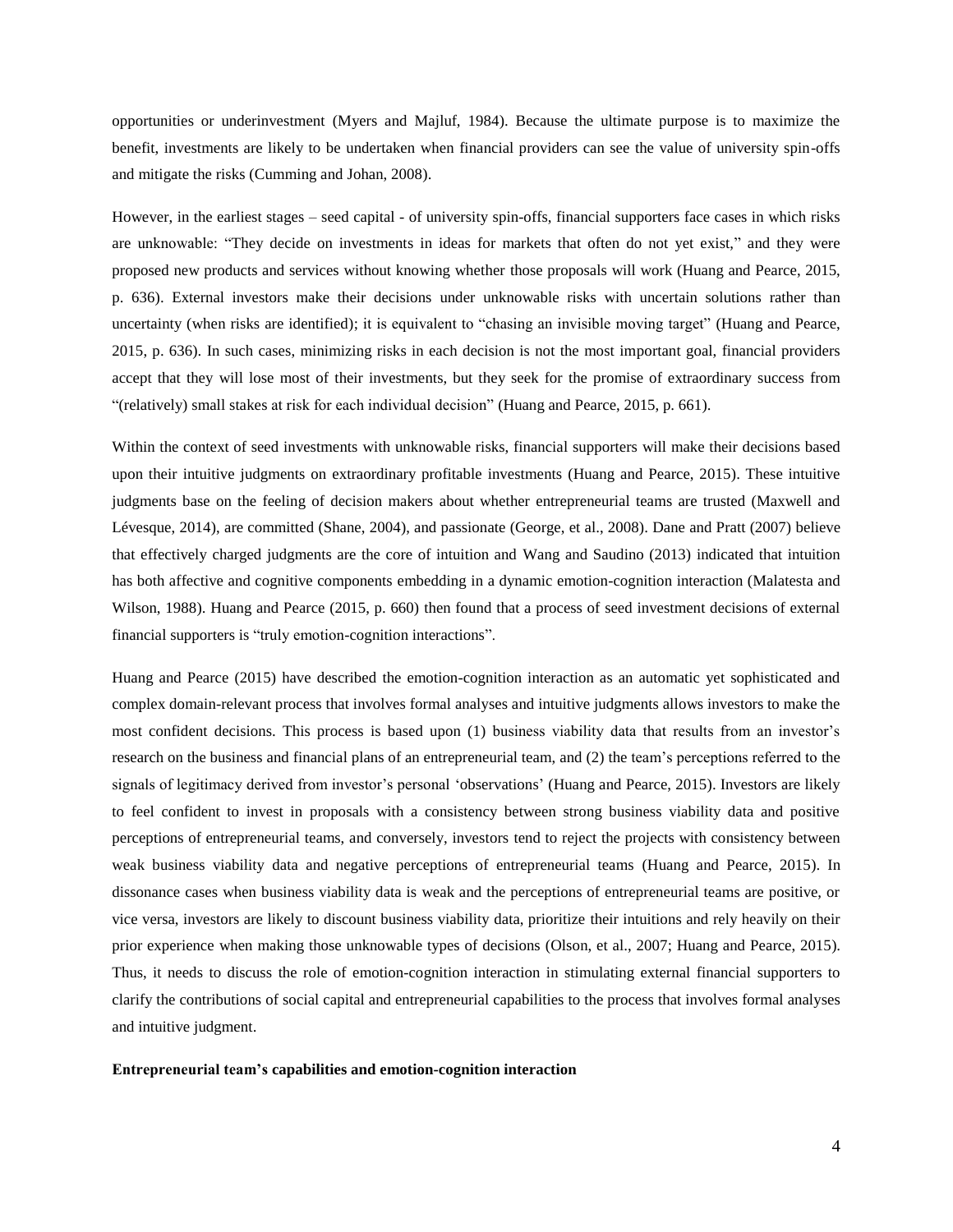opportunities or underinvestment (Myers and [Majluf, 1984\)](#page-19-7). Because the ultimate purpose is to maximize the benefit, investments are likely to be undertaken when financial providers can see the value of university spin-offs and mitigate the risks [\(Cumming and Johan, 2008\)](#page-17-7).

However, in the earliest stages – seed capital - of university spin-offs, financial supporters face cases in which risks are unknowable: "They decide on investments in ideas for markets that often do not yet exist," and they were proposed new products and services without knowing whether those proposals will work [\(Huang and Pearce, 2015,](#page-18-3)  [p. 636\)](#page-18-3). External investors make their decisions under unknowable risks with uncertain solutions rather than uncertainty (when risks are identified); it is equivalent to "chasing an invisible moving target" [\(Huang and Pearce,](#page-18-3)  [2015, p. 636\)](#page-18-3). In such cases, minimizing risks in each decision is not the most important goal, financial providers accept that they will lose most of their investments, but they seek for the promise of extraordinary success from "(relatively) small stakes at risk for each individual decision" [\(Huang and Pearce, 2015, p. 661\)](#page-18-3).

Within the context of seed investments with unknowable risks, financial supporters will make their decisions based upon their intuitive judgments on extraordinary profitable investments [\(Huang and Pearce, 2015\)](#page-18-3). These intuitive judgments base on the feeling of decision makers about whether entrepreneurial teams are trusted [\(Maxwell and](#page-19-8)  [Lévesque, 2014\)](#page-19-8), are committed [\(Shane, 2004\)](#page-20-12), and passionate [\(George, et al., 2008\)](#page-17-8). [Dane and Pratt \(2007\)](#page-17-9) believe that effectively charged judgments are the core of intuition and [Wang and Saudino \(2013\)](#page-21-4) indicated that intuition has both affective and cognitive components embedding in a dynamic emotion-cognition interaction [\(Malatesta and](#page-19-5)  [Wilson, 1988\)](#page-19-5). [Huang and Pearce \(2015, p. 660\)](#page-18-3) then found that a process of seed investment decisions of external financial supporters is "truly emotion-cognition interactions".

[Huang and Pearce \(2015\)](#page-18-3) have described the emotion-cognition interaction as an automatic yet sophisticated and complex domain-relevant process that involves formal analyses and intuitive judgments allows investors to make the most confident decisions. This process is based upon (1) business viability data that results from an investor's research on the business and financial plans of an entrepreneurial team, and (2) the team's perceptions referred to the signals of legitimacy derived from investor's personal 'observations' [\(Huang and Pearce, 2015\)](#page-18-3). Investors are likely to feel confident to invest in proposals with a consistency between strong business viability data and positive perceptions of entrepreneurial teams, and conversely, investors tend to reject the projects with consistency between weak business viability data and negative perceptions of entrepreneurial teams [\(Huang and Pearce, 2015\)](#page-18-3). In dissonance cases when business viability data is weak and the perceptions of entrepreneurial teams are positive, or vice versa, investors are likely to discount business viability data, prioritize their intuitions and rely heavily on their prior experience when making those unknowable types of decisions [\(Olson, et al., 2007;](#page-19-9) [Huang and Pearce, 2015\)](#page-18-3). Thus, it needs to discuss the role of emotion-cognition interaction in stimulating external financial supporters to clarify the contributions of social capital and entrepreneurial capabilities to the process that involves formal analyses and intuitive judgment.

**Entrepreneurial team's capabilities and emotion-cognition interaction**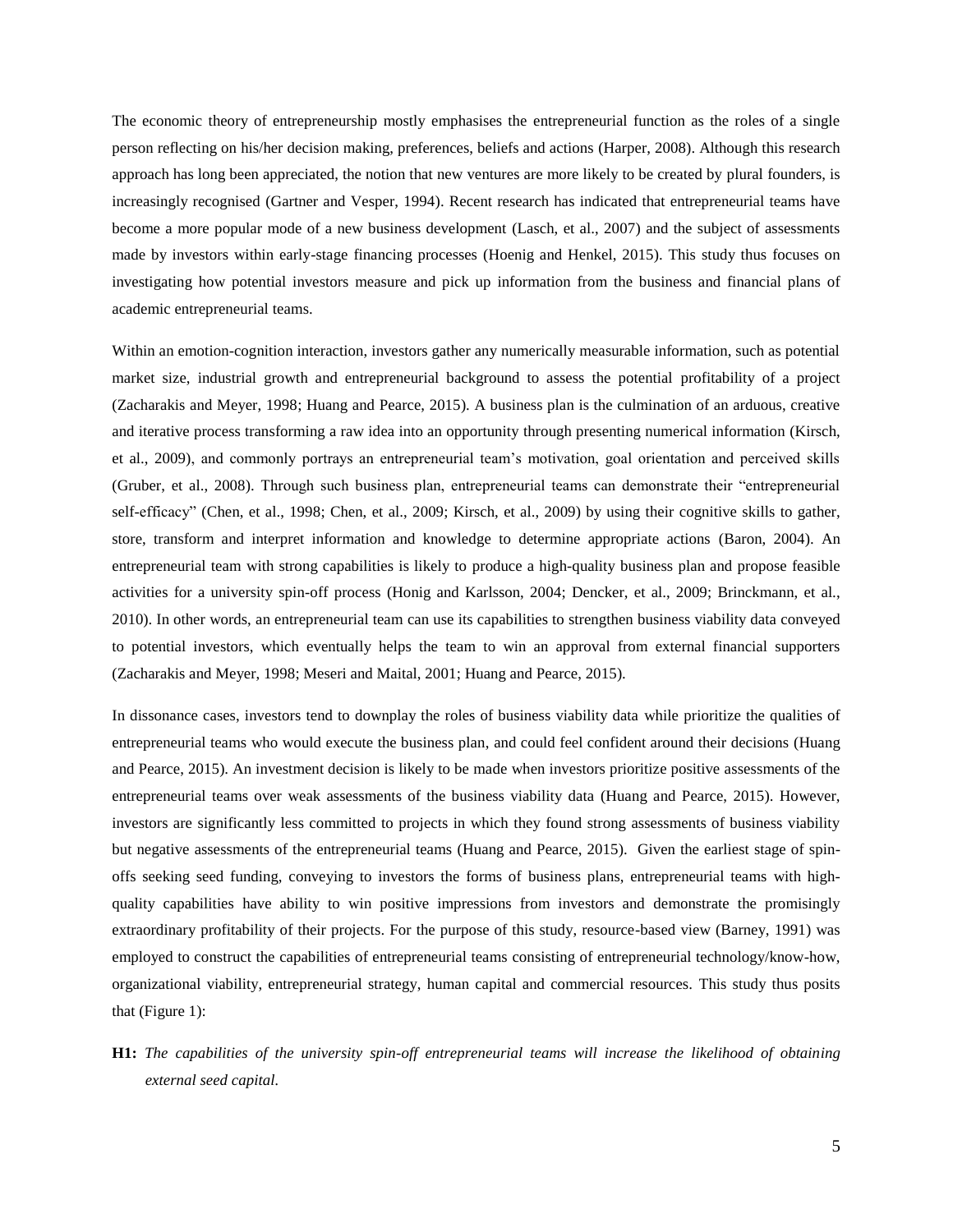The economic theory of entrepreneurship mostly emphasises the entrepreneurial function as the roles of a single person reflecting on his/her decision making, preferences, beliefs and actions [\(Harper, 2008\)](#page-18-5). Although this research approach has long been appreciated, the notion that new ventures are more likely to be created by plural founders, is increasingly recognised [\(Gartner and Vesper, 1994\)](#page-17-10). Recent research has indicated that entrepreneurial teams have become a more popular mode of a new business development [\(Lasch, et al., 2007\)](#page-18-6) and the subject of assessments made by investors within early-stage financing processes [\(Hoenig and Henkel, 2015\)](#page-18-7). This study thus focuses on investigating how potential investors measure and pick up information from the business and financial plans of academic entrepreneurial teams.

Within an emotion-cognition interaction, investors gather any numerically measurable information, such as potential market size, industrial growth and entrepreneurial background to assess the potential profitability of a project [\(Zacharakis and Meyer, 1998;](#page-21-5) [Huang and Pearce, 2015\)](#page-18-3). A business plan is the culmination of an arduous, creative and iterative process transforming a raw idea into an opportunity through presenting numerical information [\(Kirsch,](#page-18-8)  [et al., 2009\)](#page-18-8), and commonly portrays an entrepreneurial team's motivation, goal orientation and perceived skills [\(Gruber, et al., 2008\)](#page-18-9). Through such business plan, entrepreneurial teams can demonstrate their "entrepreneurial self-efficacy" [\(Chen, et al., 1998;](#page-17-11) [Chen, et al., 2009;](#page-17-12) [Kirsch, et al., 2009\)](#page-18-8) by using their cognitive skills to gather, store, transform and interpret information and knowledge to determine appropriate actions [\(Baron, 2004\)](#page-16-4). An entrepreneurial team with strong capabilities is likely to produce a high-quality business plan and propose feasible activities for a university spin-off process [\(Honig and Karlsson, 2004;](#page-18-10) [Dencker, et al., 2009;](#page-17-13) [Brinckmann, et al.,](#page-16-5)  [2010\)](#page-16-5). In other words, an entrepreneurial team can use its capabilities to strengthen business viability data conveyed to potential investors, which eventually helps the team to win an approval from external financial supporters [\(Zacharakis and Meyer, 1998;](#page-21-5) [Meseri and Maital, 2001;](#page-19-3) [Huang and Pearce, 2015\)](#page-18-3).

In dissonance cases, investors tend to downplay the roles of business viability data while prioritize the qualities of entrepreneurial teams who would execute the business plan, and could feel confident around their decisions [\(Huang](#page-18-3)  [and Pearce, 2015\)](#page-18-3). An investment decision is likely to be made when investors prioritize positive assessments of the entrepreneurial teams over weak assessments of the business viability data [\(Huang and Pearce, 2015\)](#page-18-3). However, investors are significantly less committed to projects in which they found strong assessments of business viability but negative assessments of the entrepreneurial teams [\(Huang and Pearce, 2015\)](#page-18-3). Given the earliest stage of spinoffs seeking seed funding, conveying to investors the forms of business plans, entrepreneurial teams with highquality capabilities have ability to win positive impressions from investors and demonstrate the promisingly extraordinary profitability of their projects. For the purpose of this study, resource-based view [\(Barney, 1991\)](#page-16-1) was employed to construct the capabilities of entrepreneurial teams consisting of entrepreneurial technology/know-how, organizational viability, entrepreneurial strategy, human capital and commercial resources. This study thus posits that (Figure 1):

**H1:** *The capabilities of the university spin-off entrepreneurial teams will increase the likelihood of obtaining external seed capital.*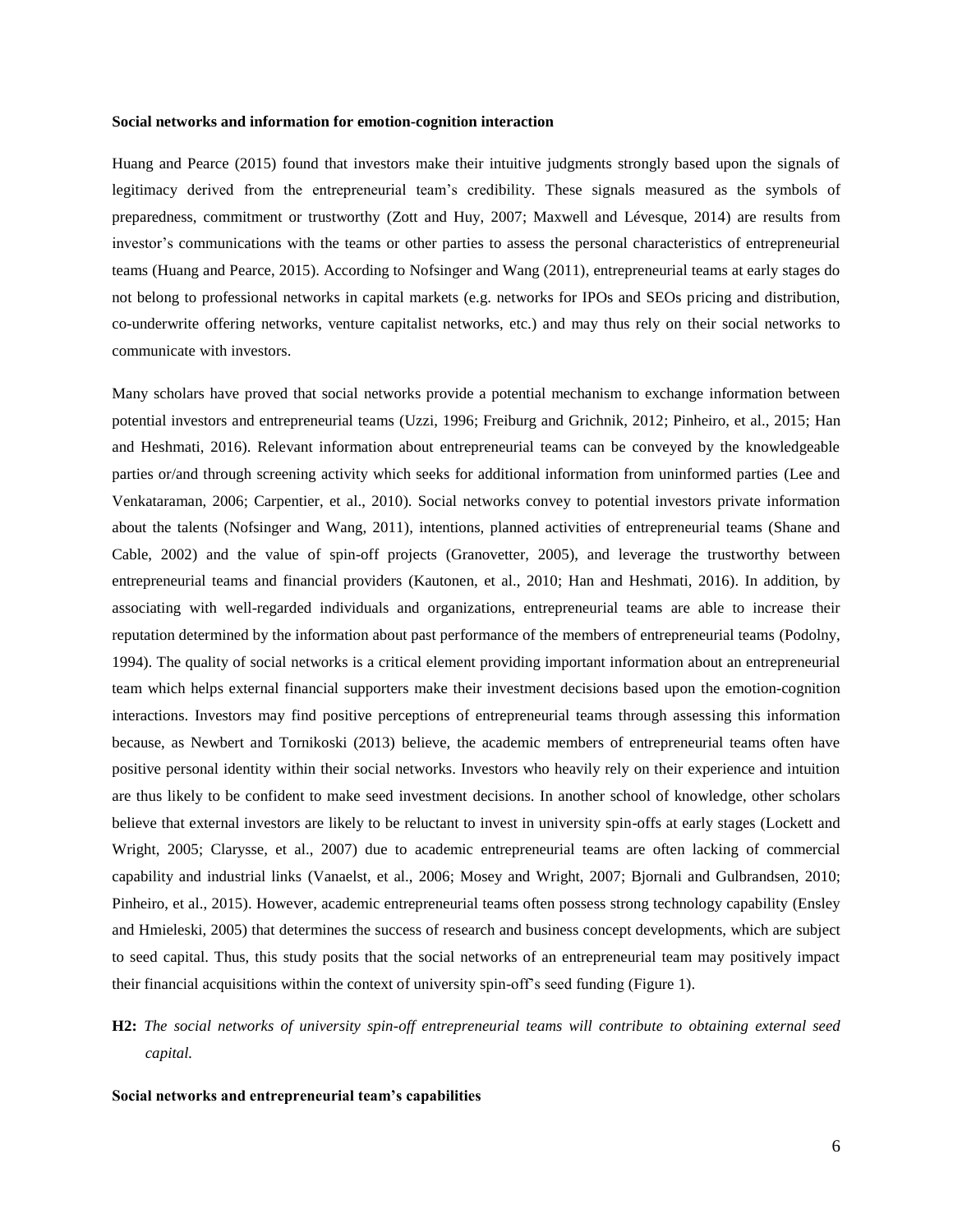#### **Social networks and information for emotion-cognition interaction**

[Huang and Pearce \(2015\)](#page-18-3) found that investors make their intuitive judgments strongly based upon the signals of legitimacy derived from the entrepreneurial team's credibility. These signals measured as the symbols of preparedness, commitment or trustworthy [\(Zott and Huy, 2007;](#page-21-6) [Maxwell and Lévesque, 2014\)](#page-19-8) are results from investor's communications with the teams or other parties to assess the personal characteristics of entrepreneurial teams [\(Huang and Pearce, 2015\)](#page-18-3). According to [Nofsinger and Wang \(2011\),](#page-19-10) entrepreneurial teams at early stages do not belong to professional networks in capital markets (e.g. networks for IPOs and SEOs pricing and distribution, co-underwrite offering networks, venture capitalist networks, etc.) and may thus rely on their social networks to communicate with investors.

Many scholars have proved that social networks provide a potential mechanism to exchange information between potential investors and entrepreneurial teams [\(Uzzi, 1996;](#page-21-7) [Freiburg and Grichnik, 2012;](#page-17-14) [Pinheiro, et al., 2015;](#page-20-13) [Han](#page-18-11)  [and Heshmati, 2016\)](#page-18-11). Relevant information about entrepreneurial teams can be conveyed by the knowledgeable parties or/and through screening activity which seeks for additional information from uninformed parties [\(Lee and](#page-18-12)  [Venkataraman, 2006;](#page-18-12) [Carpentier, et al., 2010\)](#page-17-15). Social networks convey to potential investors private information about the talents [\(Nofsinger and Wang, 2011\)](#page-19-10), intentions, planned activities of entrepreneurial teams [\(Shane and](#page-20-14)  [Cable, 2002\)](#page-20-14) and the value of spin-off projects [\(Granovetter, 2005\)](#page-18-13), and leverage the trustworthy between entrepreneurial teams and financial providers [\(Kautonen, et al., 2010;](#page-18-14) [Han and Heshmati, 2016\)](#page-18-11). In addition, by associating with well-regarded individuals and organizations, entrepreneurial teams are able to increase their reputation determined by the information about past performance of the members of entrepreneurial teams [\(Podolny,](#page-20-15)  [1994\)](#page-20-15). The quality of social networks is a critical element providing important information about an entrepreneurial team which helps external financial supporters make their investment decisions based upon the emotion-cognition interactions. Investors may find positive perceptions of entrepreneurial teams through assessing this information because, as [Newbert and Tornikoski \(2013\)](#page-19-11) believe, the academic members of entrepreneurial teams often have positive personal identity within their social networks. Investors who heavily rely on their experience and intuition are thus likely to be confident to make seed investment decisions. In another school of knowledge, other scholars believe that external investors are likely to be reluctant to invest in university spin-offs at early stages [\(Lockett and](#page-19-6)  [Wright, 2005;](#page-19-6) [Clarysse, et al., 2007\)](#page-17-3) due to academic entrepreneurial teams are often lacking of commercial capability and industrial links [\(Vanaelst, et al., 2006;](#page-21-8) [Mosey and Wright, 2007;](#page-19-12) [Bjornali and Gulbrandsen, 2010;](#page-16-6) [Pinheiro, et al., 2015\)](#page-20-13). However, academic entrepreneurial teams often possess strong technology capability [\(Ensley](#page-17-16)  [and Hmieleski, 2005\)](#page-17-16) that determines the success of research and business concept developments, which are subject to seed capital. Thus, this study posits that the social networks of an entrepreneurial team may positively impact their financial acquisitions within the context of university spin-off's seed funding (Figure 1).

**H2:** *The social networks of university spin-off entrepreneurial teams will contribute to obtaining external seed capital.*

#### **Social networks and entrepreneurial team's capabilities**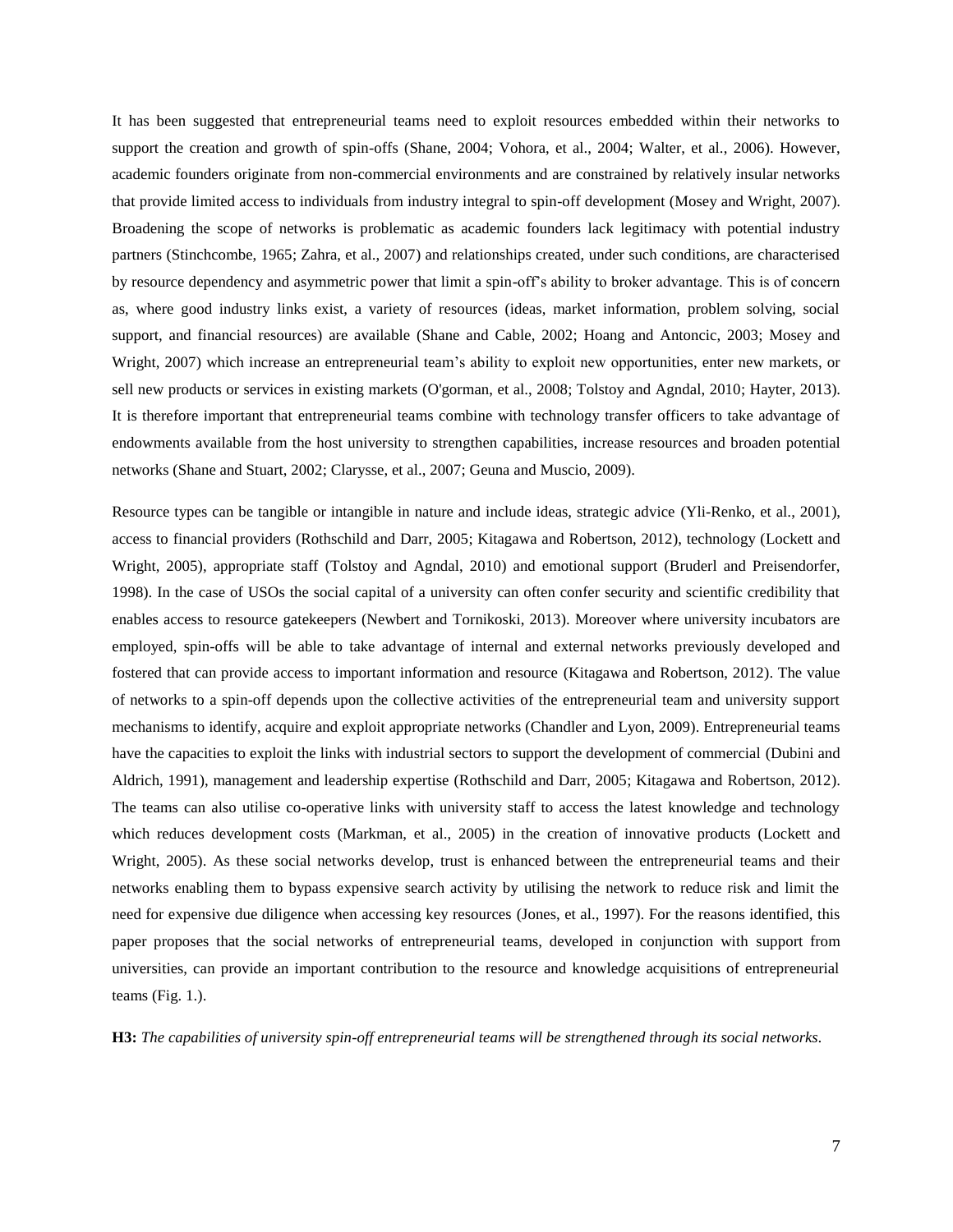It has been suggested that entrepreneurial teams need to exploit resources embedded within their networks to support the creation and growth of spin-offs [\(Shane, 2004;](#page-20-12) [Vohora, et al., 2004;](#page-21-2) [Walter, et al., 2006\)](#page-21-9). However, academic founders originate from non-commercial environments and are constrained by relatively insular networks that provide limited access to individuals from industry integral to spin-off development [\(Mosey and Wright, 2007\)](#page-19-12). Broadening the scope of networks is problematic as academic founders lack legitimacy with potential industry partners [\(Stinchcombe, 1965;](#page-20-10) [Zahra, et al., 2007\)](#page-21-1) and relationships created, under such conditions, are characterised by resource dependency and asymmetric power that limit a spin-off's ability to broker advantage. This is of concern as, where good industry links exist, a variety of resources (ideas, market information, problem solving, social support, and financial resources) are available [\(Shane and Cable, 2002;](#page-20-14) [Hoang and Antoncic, 2003;](#page-18-4) [Mosey and](#page-19-12)  [Wright, 2007\)](#page-19-12) which increase an entrepreneurial team's ability to exploit new opportunities, enter new markets, or sell new products or services in existing markets [\(O'gorman, et al., 2008;](#page-19-13) [Tolstoy and Agndal, 2010;](#page-20-16) [Hayter, 2013\)](#page-18-15). It is therefore important that entrepreneurial teams combine with technology transfer officers to take advantage of endowments available from the host university to strengthen capabilities, increase resources and broaden potential networks [\(Shane and Stuart, 2002;](#page-20-17) [Clarysse, et al., 2007;](#page-17-3) [Geuna and Muscio, 2009\)](#page-17-17).

Resource types can be tangible or intangible in nature and include ideas, strategic advice [\(Yli-Renko, et al., 2001\)](#page-21-10), access to financial providers [\(Rothschild and Darr, 2005;](#page-20-18) [Kitagawa and Robertson, 2012\)](#page-18-16), technology [\(Lockett and](#page-19-6)  [Wright, 2005\)](#page-19-6), appropriate staff [\(Tolstoy and Agndal, 2010\)](#page-20-16) and emotional support [\(Bruderl and Preisendorfer,](#page-17-18)  [1998\)](#page-17-18). In the case of USOs the social capital of a university can often confer security and scientific credibility that enables access to resource gatekeepers [\(Newbert and Tornikoski, 2013\)](#page-19-11). Moreover where university incubators are employed, spin-offs will be able to take advantage of internal and external networks previously developed and fostered that can provide access to important information and resource [\(Kitagawa and Robertson, 2012\)](#page-18-16). The value of networks to a spin-off depends upon the collective activities of the entrepreneurial team and university support mechanisms to identify, acquire and exploit appropriate networks [\(Chandler and Lyon, 2009\)](#page-17-19). Entrepreneurial teams have the capacities to exploit the links with industrial sectors to support the development of commercial [\(Dubini and](#page-17-20)  [Aldrich, 1991\)](#page-17-20), management and leadership expertise [\(Rothschild and Darr, 2005;](#page-20-18) [Kitagawa and Robertson, 2012\)](#page-18-16). The teams can also utilise co-operative links with university staff to access the latest knowledge and technology which reduces development costs [\(Markman, et al., 2005\)](#page-19-14) in the creation of innovative products [\(Lockett and](#page-19-6)  [Wright, 2005\)](#page-19-6). As these social networks develop, trust is enhanced between the entrepreneurial teams and their networks enabling them to bypass expensive search activity by utilising the network to reduce risk and limit the need for expensive due diligence when accessing key resources [\(Jones, et al., 1997\)](#page-18-17). For the reasons identified, this paper proposes that the social networks of entrepreneurial teams, developed in conjunction with support from universities, can provide an important contribution to the resource and knowledge acquisitions of entrepreneurial teams (Fig. 1.).

**H3:** *The capabilities of university spin-off entrepreneurial teams will be strengthened through its social networks.*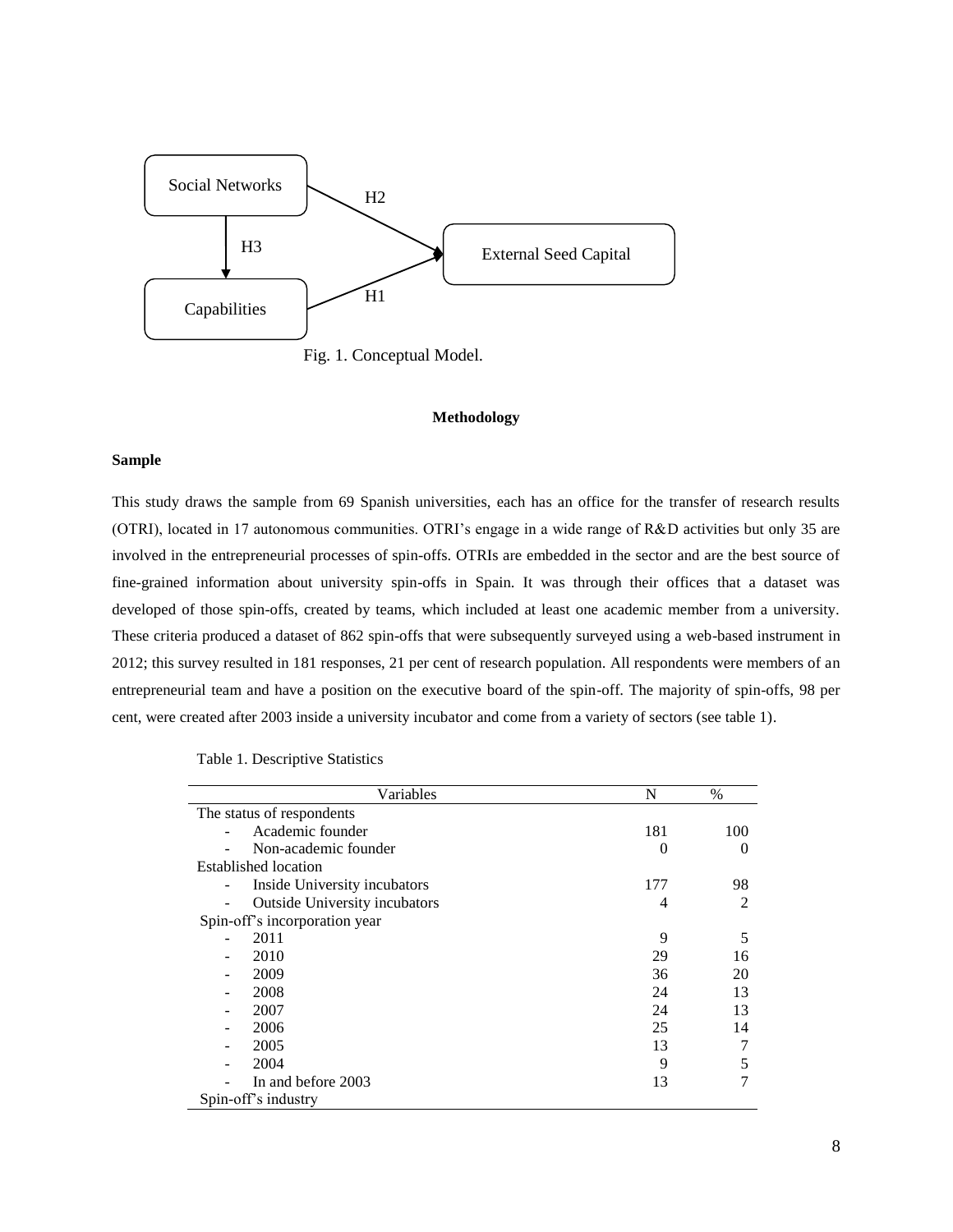

#### **Methodology**

## **Sample**

This study draws the sample from 69 Spanish universities, each has an office for the transfer of research results (OTRI), located in 17 autonomous communities. OTRI's engage in a wide range of R&D activities but only 35 are involved in the entrepreneurial processes of spin-offs. OTRIs are embedded in the sector and are the best source of fine-grained information about university spin-offs in Spain. It was through their offices that a dataset was developed of those spin-offs, created by teams, which included at least one academic member from a university. These criteria produced a dataset of 862 spin-offs that were subsequently surveyed using a web-based instrument in 2012; this survey resulted in 181 responses, 21 per cent of research population. All respondents were members of an entrepreneurial team and have a position on the executive board of the spin-off. The majority of spin-offs, 98 per cent, were created after 2003 inside a university incubator and come from a variety of sectors (see table 1).

|  |  |  |  | Table 1. Descriptive Statistics |
|--|--|--|--|---------------------------------|
|--|--|--|--|---------------------------------|

| Variables                     | N   | $\%$ |
|-------------------------------|-----|------|
| The status of respondents     |     |      |
| Academic founder              | 181 | 100  |
| Non-academic founder          | 0   | 0    |
| Established location          |     |      |
| Inside University incubators  | 177 | 98   |
| Outside University incubators | 4   | 2    |
| Spin-off's incorporation year |     |      |
| 2011                          | 9   | 5    |
| 2010                          | 29  | 16   |
| 2009                          | 36  | 20   |
| 2008                          | 24  | 13   |
| 2007                          | 24  | 13   |
| 2006                          | 25  | 14   |
| 2005                          | 13  |      |
| 2004                          | 9   | 5    |
| In and before 2003            | 13  |      |
| Spin-off's industry           |     |      |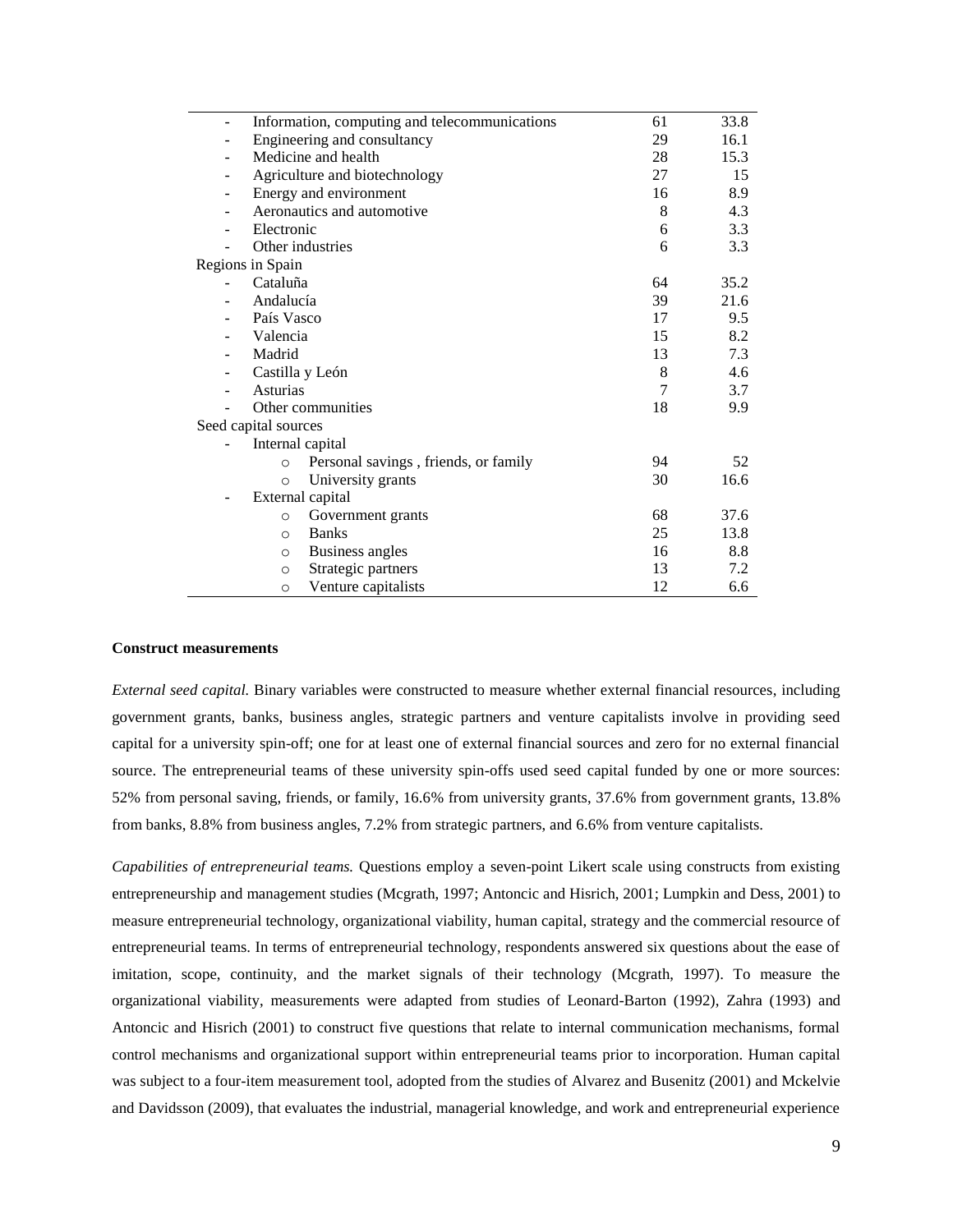| $\overline{\phantom{a}}$ | Information, computing and telecommunications | 61 | 33.8 |
|--------------------------|-----------------------------------------------|----|------|
|                          | Engineering and consultancy                   | 29 | 16.1 |
|                          | Medicine and health                           | 28 | 15.3 |
| $\qquad \qquad -$        | Agriculture and biotechnology                 | 27 | 15   |
| $\overline{\phantom{a}}$ | Energy and environment                        | 16 | 8.9  |
|                          | Aeronautics and automotive                    | 8  | 4.3  |
| Electronic               |                                               | 6  | 3.3  |
|                          | Other industries                              | 6  | 3.3  |
| Regions in Spain         |                                               |    |      |
| Cataluña                 |                                               | 64 | 35.2 |
| Andalucía                |                                               | 39 | 21.6 |
| País Vasco               |                                               | 17 | 9.5  |
| Valencia<br>۰            |                                               | 15 | 8.2  |
| Madrid<br>$\blacksquare$ |                                               | 13 | 7.3  |
|                          | Castilla y León                               | 8  | 4.6  |
| <b>Asturias</b>          |                                               | 7  | 3.7  |
|                          | Other communities                             | 18 | 9.9  |
| Seed capital sources     |                                               |    |      |
|                          | Internal capital                              |    |      |
| $\circ$                  | Personal savings, friends, or family          | 94 | 52   |
| $\circ$                  | University grants                             | 30 | 16.6 |
|                          | External capital                              |    |      |
| $\circ$                  | Government grants                             | 68 | 37.6 |
| $\circ$                  | <b>Banks</b>                                  | 25 | 13.8 |
| $\circ$                  | <b>Business angles</b>                        | 16 | 8.8  |
| $\circ$                  | Strategic partners                            | 13 | 7.2  |
| $\circ$                  | Venture capitalists                           | 12 | 6.6  |

#### **Construct measurements**

*External seed capital.* Binary variables were constructed to measure whether external financial resources, including government grants, banks, business angles, strategic partners and venture capitalists involve in providing seed capital for a university spin-off; one for at least one of external financial sources and zero for no external financial source. The entrepreneurial teams of these university spin-offs used seed capital funded by one or more sources: 52% from personal saving, friends, or family, 16.6% from university grants, 37.6% from government grants, 13.8% from banks, 8.8% from business angles, 7.2% from strategic partners, and 6.6% from venture capitalists.

*Capabilities of entrepreneurial teams.* Questions employ a seven-point Likert scale using constructs from existing entrepreneurship and management studies [\(Mcgrath, 1997;](#page-19-15) [Antoncic and Hisrich, 2001;](#page-16-7) [Lumpkin and Dess, 2001\)](#page-19-16) to measure entrepreneurial technology, organizational viability, human capital, strategy and the commercial resource of entrepreneurial teams. In terms of entrepreneurial technology, respondents answered six questions about the ease of imitation, scope, continuity, and the market signals of their technology [\(Mcgrath, 1997\)](#page-19-15). To measure the organizational viability, measurements were adapted from studies of [Leonard-Barton \(1992\),](#page-18-18) [Zahra \(1993\)](#page-21-11) and [Antoncic and Hisrich \(2001\)](#page-16-7) to construct five questions that relate to internal communication mechanisms, formal control mechanisms and organizational support within entrepreneurial teams prior to incorporation. Human capital was subject to a four-item measurement tool, adopted from the studies of [Alvarez and Busenitz \(2001\)](#page-16-8) and [Mckelvie](#page-19-17)  and Davidsson (2009), that evaluates the industrial, managerial knowledge, and work and entrepreneurial experience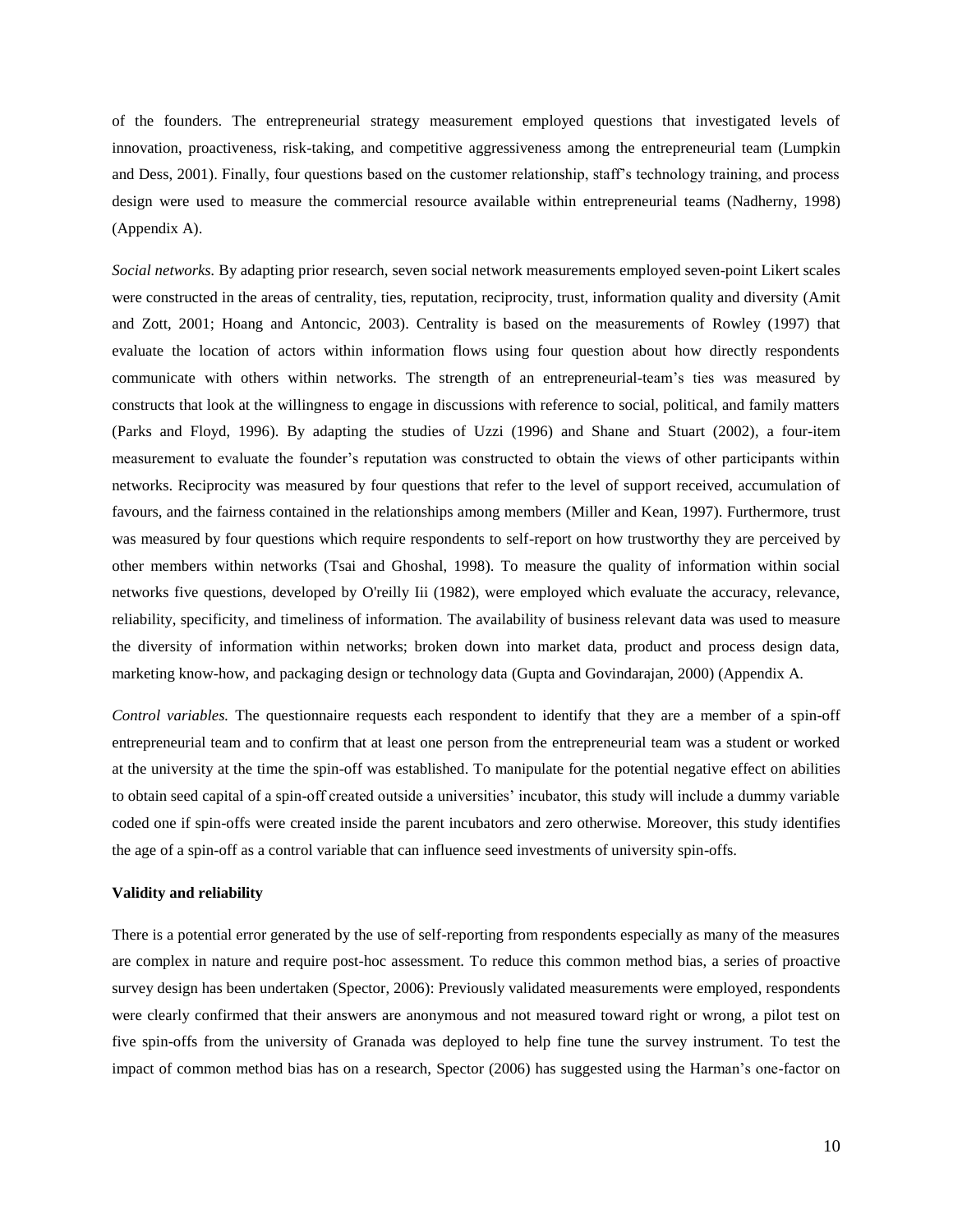of the founders. The entrepreneurial strategy measurement employed questions that investigated levels of innovation, proactiveness, risk-taking, and competitive aggressiveness among the entrepreneurial team [\(Lumpkin](#page-19-16)  [and Dess, 2001\)](#page-19-16). Finally, four questions based on the customer relationship, staff's technology training, and process design were used to measure the commercial resource available within entrepreneurial teams [\(Nadherny, 1998\)](#page-19-18) (Appendix A).

*Social networks.* By adapting prior research, seven social network measurements employed seven-point Likert scales were constructed in the areas of centrality, ties, reputation, reciprocity, trust, information quality and diversity [\(Amit](#page-16-2)  and [Zott, 2001;](#page-16-2) [Hoang and Antoncic, 2003\)](#page-18-4). Centrality is based on the measurements of [Rowley \(1997\)](#page-20-19) that evaluate the location of actors within information flows using four question about how directly respondents communicate with others within networks. The strength of an entrepreneurial-team's ties was measured by constructs that look at the willingness to engage in discussions with reference to social, political, and family matters [\(Parks and Floyd, 1996\)](#page-19-19). By adapting the studies of [Uzzi \(1996\)](#page-21-7) and [Shane and Stuart \(2002\),](#page-20-17) a four-item measurement to evaluate the founder's reputation was constructed to obtain the views of other participants within networks. Reciprocity was measured by four questions that refer to the level of support received, accumulation of favours, and the fairness contained in the relationships among members [\(Miller and Kean, 1997\)](#page-19-20). Furthermore, trust was measured by four questions which require respondents to self-report on how trustworthy they are perceived by other members within networks [\(Tsai and Ghoshal, 1998\)](#page-20-20). To measure the quality of information within social networks five questions, developed by [O'reilly Iii \(1982\),](#page-19-21) were employed which evaluate the accuracy, relevance, reliability, specificity, and timeliness of information. The availability of business relevant data was used to measure the diversity of information within networks; broken down into market data, product and process design data, marketing know-how, and packaging design or technology data [\(Gupta and Govindarajan, 2000\)](#page-18-19) (Appendix A.

*Control variables.* The questionnaire requests each respondent to identify that they are a member of a spin-off entrepreneurial team and to confirm that at least one person from the entrepreneurial team was a student or worked at the university at the time the spin-off was established. To manipulate for the potential negative effect on abilities to obtain seed capital of a spin-off created outside a universities' incubator, this study will include a dummy variable coded one if spin-offs were created inside the parent incubators and zero otherwise. Moreover, this study identifies the age of a spin-off as a control variable that can influence seed investments of university spin-offs.

#### **Validity and reliability**

There is a potential error generated by the use of self-reporting from respondents especially as many of the measures are complex in nature and require post-hoc assessment. To reduce this common method bias, a series of proactive survey design has been undertaken [\(Spector, 2006\)](#page-20-21): Previously validated measurements were employed, respondents were clearly confirmed that their answers are anonymous and not measured toward right or wrong, a pilot test on five spin-offs from the university of Granada was deployed to help fine tune the survey instrument. To test the impact of common method bias has on a research, [Spector \(2006\)](#page-20-21) has suggested using the Harman's one-factor on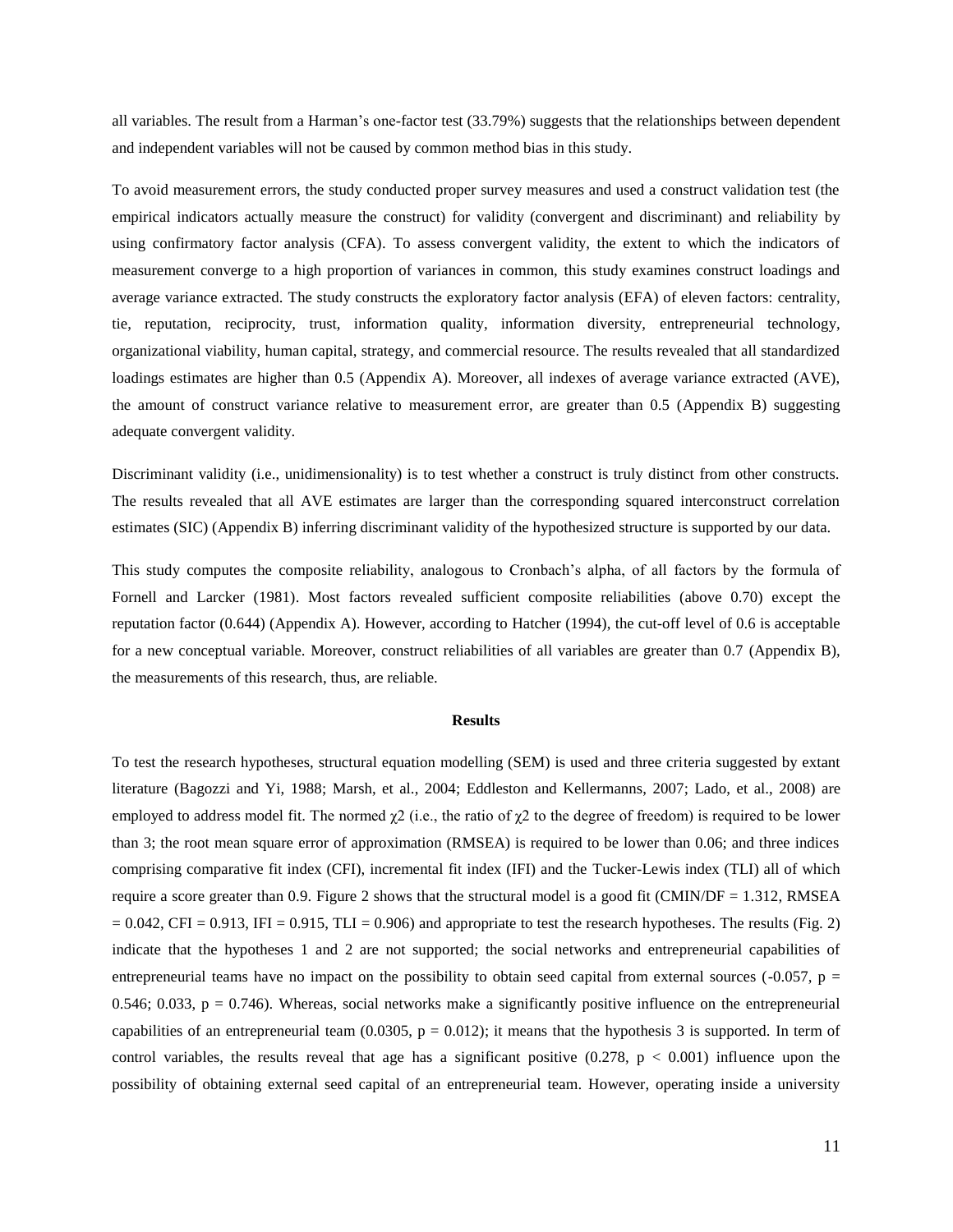all variables. The result from a Harman's one-factor test (33.79%) suggests that the relationships between dependent and independent variables will not be caused by common method bias in this study.

To avoid measurement errors, the study conducted proper survey measures and used a construct validation test (the empirical indicators actually measure the construct) for validity (convergent and discriminant) and reliability by using confirmatory factor analysis (CFA). To assess convergent validity, the extent to which the indicators of measurement converge to a high proportion of variances in common, this study examines construct loadings and average variance extracted. The study constructs the exploratory factor analysis (EFA) of eleven factors: centrality, tie, reputation, reciprocity, trust, information quality, information diversity, entrepreneurial technology, organizational viability, human capital, strategy, and commercial resource. The results revealed that all standardized loadings estimates are higher than 0.5 (Appendix A). Moreover, all indexes of average variance extracted (AVE), the amount of construct variance relative to measurement error, are greater than 0.5 (Appendix B) suggesting adequate convergent validity.

Discriminant validity (i.e., unidimensionality) is to test whether a construct is truly distinct from other constructs. The results revealed that all AVE estimates are larger than the corresponding squared interconstruct correlation estimates (SIC) (Appendix B) inferring discriminant validity of the hypothesized structure is supported by our data.

This study computes the composite reliability, analogous to Cronbach's alpha, of all factors by the formula of [Fornell and Larcker \(1981\).](#page-17-21) Most factors revealed sufficient composite reliabilities (above 0.70) except the reputation factor (0.644) (Appendix A). However, according to [Hatcher \(1994\),](#page-18-20) the cut-off level of 0.6 is acceptable for a new conceptual variable. Moreover, construct reliabilities of all variables are greater than 0.7 (Appendix B), the measurements of this research, thus, are reliable.

#### **Results**

To test the research hypotheses, structural equation modelling (SEM) is used and three criteria suggested by extant literature [\(Bagozzi and Yi, 1988;](#page-16-9) [Marsh, et al., 2004;](#page-19-22) [Eddleston and Kellermanns, 2007;](#page-17-22) [Lado, et al., 2008\)](#page-18-21) are employed to address model fit. The normed  $\gamma$ 2 (i.e., the ratio of  $\gamma$ 2 to the degree of freedom) is required to be lower than 3; the root mean square error of approximation (RMSEA) is required to be lower than 0.06; and three indices comprising comparative fit index (CFI), incremental fit index (IFI) and the Tucker-Lewis index (TLI) all of which require a score greater than 0.9. Figure 2 shows that the structural model is a good fit (CMIN/DF = 1.312, RMSEA  $= 0.042$ , CFI = 0.913, IFI = 0.915, TLI = 0.906) and appropriate to test the research hypotheses. The results (Fig. 2) indicate that the hypotheses 1 and 2 are not supported; the social networks and entrepreneurial capabilities of entrepreneurial teams have no impact on the possibility to obtain seed capital from external sources  $(-0.057, p =$ 0.546; 0.033,  $p = 0.746$ ). Whereas, social networks make a significantly positive influence on the entrepreneurial capabilities of an entrepreneurial team  $(0.0305, p = 0.012)$ ; it means that the hypothesis 3 is supported. In term of control variables, the results reveal that age has a significant positive  $(0.278, p < 0.001)$  influence upon the possibility of obtaining external seed capital of an entrepreneurial team. However, operating inside a university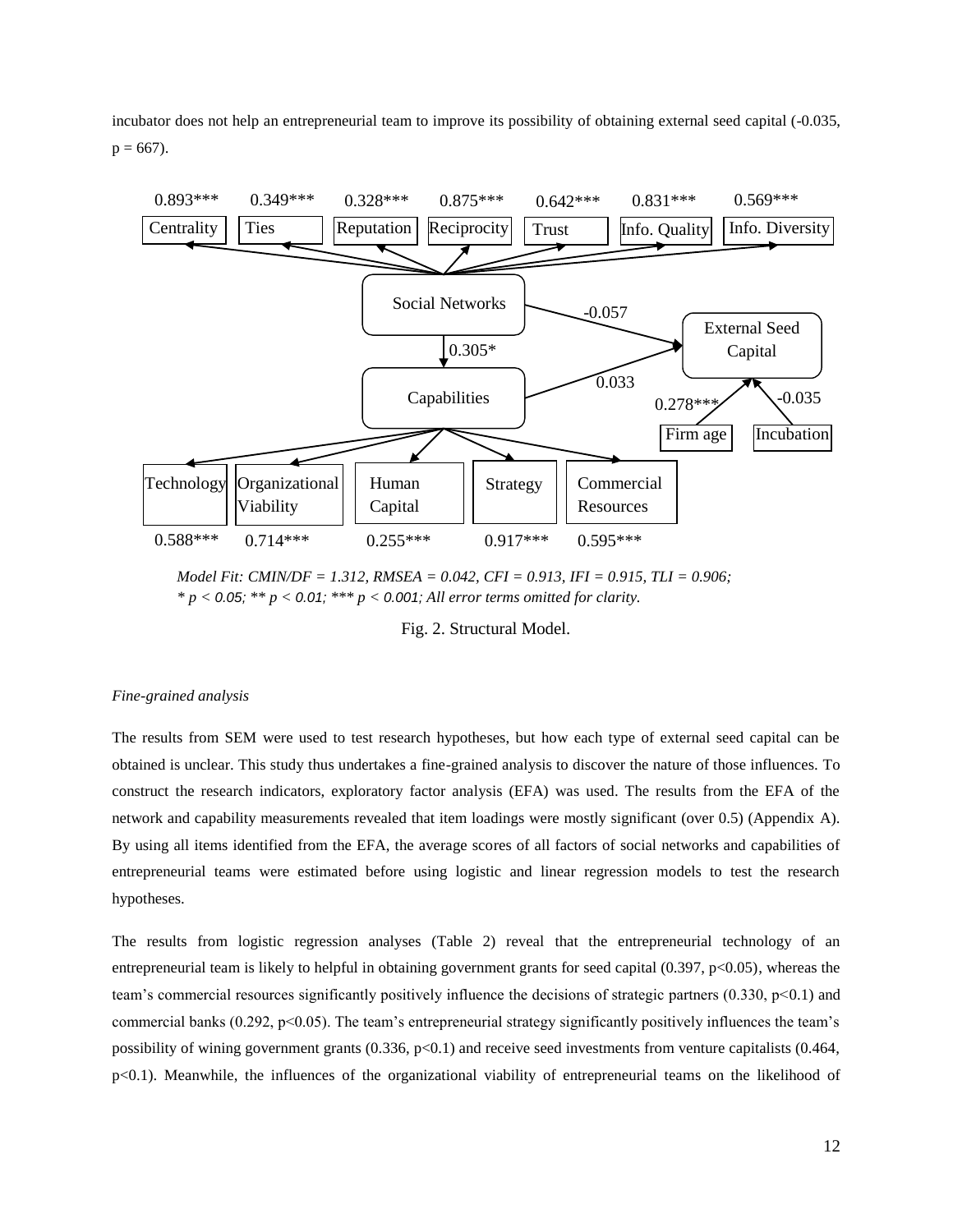incubator does not help an entrepreneurial team to improve its possibility of obtaining external seed capital (-0.035,  $p = 667$ ).



*Model Fit: CMIN/DF = 1.312, RMSEA = 0.042, CFI = 0.913, IFI = 0.915, TLI = 0.906; \* p < 0.05; \*\* p < 0.01; \*\*\* p < 0.001; All error terms omitted for clarity.*

Fig. 2. Structural Model.

#### *Fine-grained analysis*

The results from SEM were used to test research hypotheses, but how each type of external seed capital can be obtained is unclear. This study thus undertakes a fine-grained analysis to discover the nature of those influences. To construct the research indicators, exploratory factor analysis (EFA) was used. The results from the EFA of the network and capability measurements revealed that item loadings were mostly significant (over 0.5) (Appendix A). By using all items identified from the EFA, the average scores of all factors of social networks and capabilities of entrepreneurial teams were estimated before using logistic and linear regression models to test the research hypotheses.

The results from logistic regression analyses (Table 2) reveal that the entrepreneurial technology of an entrepreneurial team is likely to helpful in obtaining government grants for seed capital  $(0.397, p<0.05)$ , whereas the team's commercial resources significantly positively influence the decisions of strategic partners (0.330, p<0.1) and commercial banks (0.292,  $p<0.05$ ). The team's entrepreneurial strategy significantly positively influences the team's possibility of wining government grants  $(0.336, p<0.1)$  and receive seed investments from venture capitalists  $(0.464, p<sub>0</sub>)$ p<0.1). Meanwhile, the influences of the organizational viability of entrepreneurial teams on the likelihood of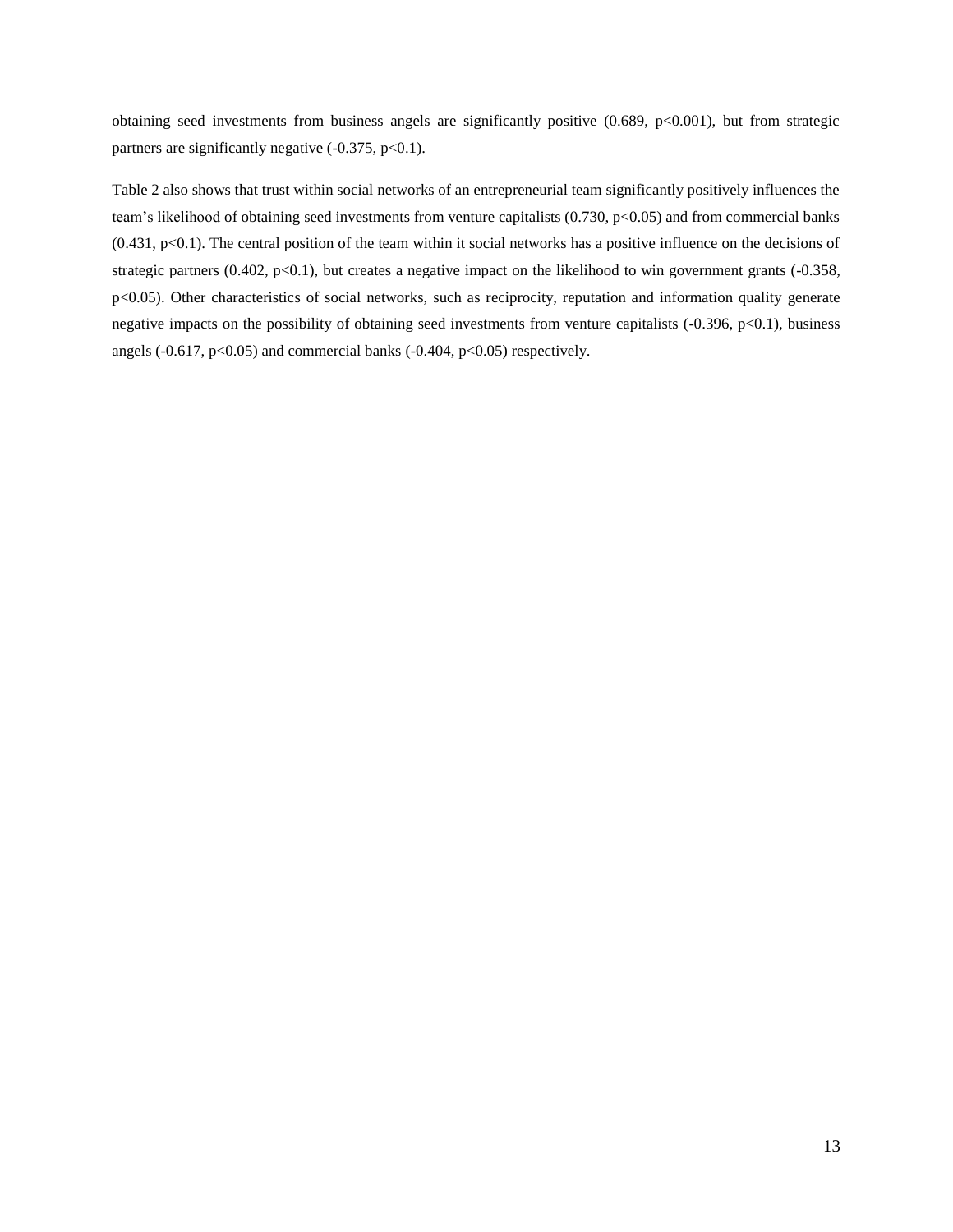obtaining seed investments from business angels are significantly positive (0.689, p<0.001), but from strategic partners are significantly negative  $(-0.375, p<0.1)$ .

Table 2 also shows that trust within social networks of an entrepreneurial team significantly positively influences the team's likelihood of obtaining seed investments from venture capitalists (0.730, p<0.05) and from commercial banks  $(0.431, p<0.1)$ . The central position of the team within it social networks has a positive influence on the decisions of strategic partners (0.402, p<0.1), but creates a negative impact on the likelihood to win government grants (-0.358, p<0.05). Other characteristics of social networks, such as reciprocity, reputation and information quality generate negative impacts on the possibility of obtaining seed investments from venture capitalists (-0.396, p<0.1), business angels (-0.617, p<0.05) and commercial banks (-0.404, p<0.05) respectively.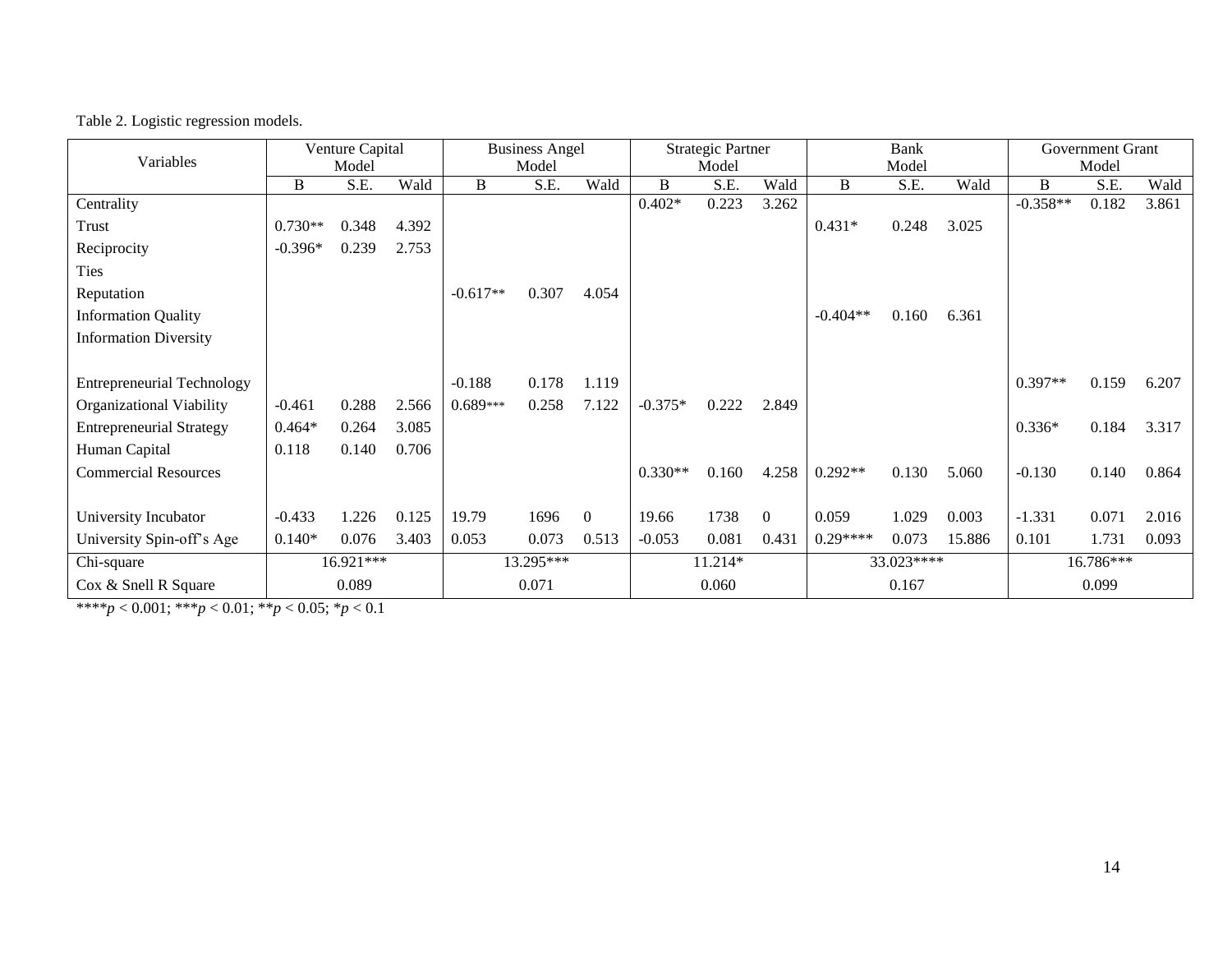|  | Table 2. Logistic regression models. |  |
|--|--------------------------------------|--|
|  |                                      |  |

|                                   |           | Venture Capital |       |            | <b>Business Angel</b> |              |           | <b>Strategic Partner</b> |                |            | Bank       |        |            | <b>Government Grant</b> |       |
|-----------------------------------|-----------|-----------------|-------|------------|-----------------------|--------------|-----------|--------------------------|----------------|------------|------------|--------|------------|-------------------------|-------|
| Variables                         |           | Model           |       |            | Model                 |              |           | Model                    |                | Model      |            | Model  |            |                         |       |
|                                   | B         | S.E.            | Wald  | B          | S.E.                  | Wald         | B         | S.E.                     | Wald           | B          | S.E.       | Wald   | B          | S.E.                    | Wald  |
| Centrality                        |           |                 |       |            |                       |              | $0.402*$  | 0.223                    | 3.262          |            |            |        | $-0.358**$ | 0.182                   | 3.861 |
| <b>Trust</b>                      | $0.730**$ | 0.348           | 4.392 |            |                       |              |           |                          |                | $0.431*$   | 0.248      | 3.025  |            |                         |       |
| Reciprocity                       | $-0.396*$ | 0.239           | 2.753 |            |                       |              |           |                          |                |            |            |        |            |                         |       |
| <b>Ties</b>                       |           |                 |       |            |                       |              |           |                          |                |            |            |        |            |                         |       |
| Reputation                        |           |                 |       | $-0.617**$ | 0.307                 | 4.054        |           |                          |                |            |            |        |            |                         |       |
| <b>Information Quality</b>        |           |                 |       |            |                       |              |           |                          |                | $-0.404**$ | 0.160      | 6.361  |            |                         |       |
| <b>Information Diversity</b>      |           |                 |       |            |                       |              |           |                          |                |            |            |        |            |                         |       |
|                                   |           |                 |       |            |                       |              |           |                          |                |            |            |        |            |                         |       |
| <b>Entrepreneurial Technology</b> |           |                 |       | $-0.188$   | 0.178                 | 1.119        |           |                          |                |            |            |        | $0.397**$  | 0.159                   | 6.207 |
| Organizational Viability          | $-0.461$  | 0.288           | 2.566 | $0.689***$ | 0.258                 | 7.122        | $-0.375*$ | 0.222                    | 2.849          |            |            |        |            |                         |       |
| <b>Entrepreneurial Strategy</b>   | $0.464*$  | 0.264           | 3.085 |            |                       |              |           |                          |                |            |            |        | $0.336*$   | 0.184                   | 3.317 |
| Human Capital                     | 0.118     | 0.140           | 0.706 |            |                       |              |           |                          |                |            |            |        |            |                         |       |
| <b>Commercial Resources</b>       |           |                 |       |            |                       |              | $0.330**$ | 0.160                    | 4.258          | $0.292**$  | 0.130      | 5.060  | $-0.130$   | 0.140                   | 0.864 |
|                                   |           |                 |       |            |                       |              |           |                          |                |            |            |        |            |                         |       |
| University Incubator              | $-0.433$  | 1.226           | 0.125 | 19.79      | 1696                  | $\mathbf{0}$ | 19.66     | 1738                     | $\overline{0}$ | 0.059      | 1.029      | 0.003  | $-1.331$   | 0.071                   | 2.016 |
| University Spin-off's Age         | $0.140*$  | 0.076           | 3.403 | 0.053      | 0.073                 | 0.513        | $-0.053$  | 0.081                    | 0.431          | $0.29***$  | 0.073      | 15.886 | 0.101      | 1.731                   | 0.093 |
| Chi-square                        |           | 16.921***       |       |            | 13.295***             |              |           | 11.214*                  |                |            | 33.023**** |        |            | 16.786***               |       |
| Cox & Snell R Square              |           | 0.089           |       |            | 0.071                 |              |           | 0.060                    |                |            | 0.167      |        |            | 0.099                   |       |

\*\*\*\**p* < 0.001; \*\*\**p* < 0.01; \*\**p* < 0.05; \**p* < 0.1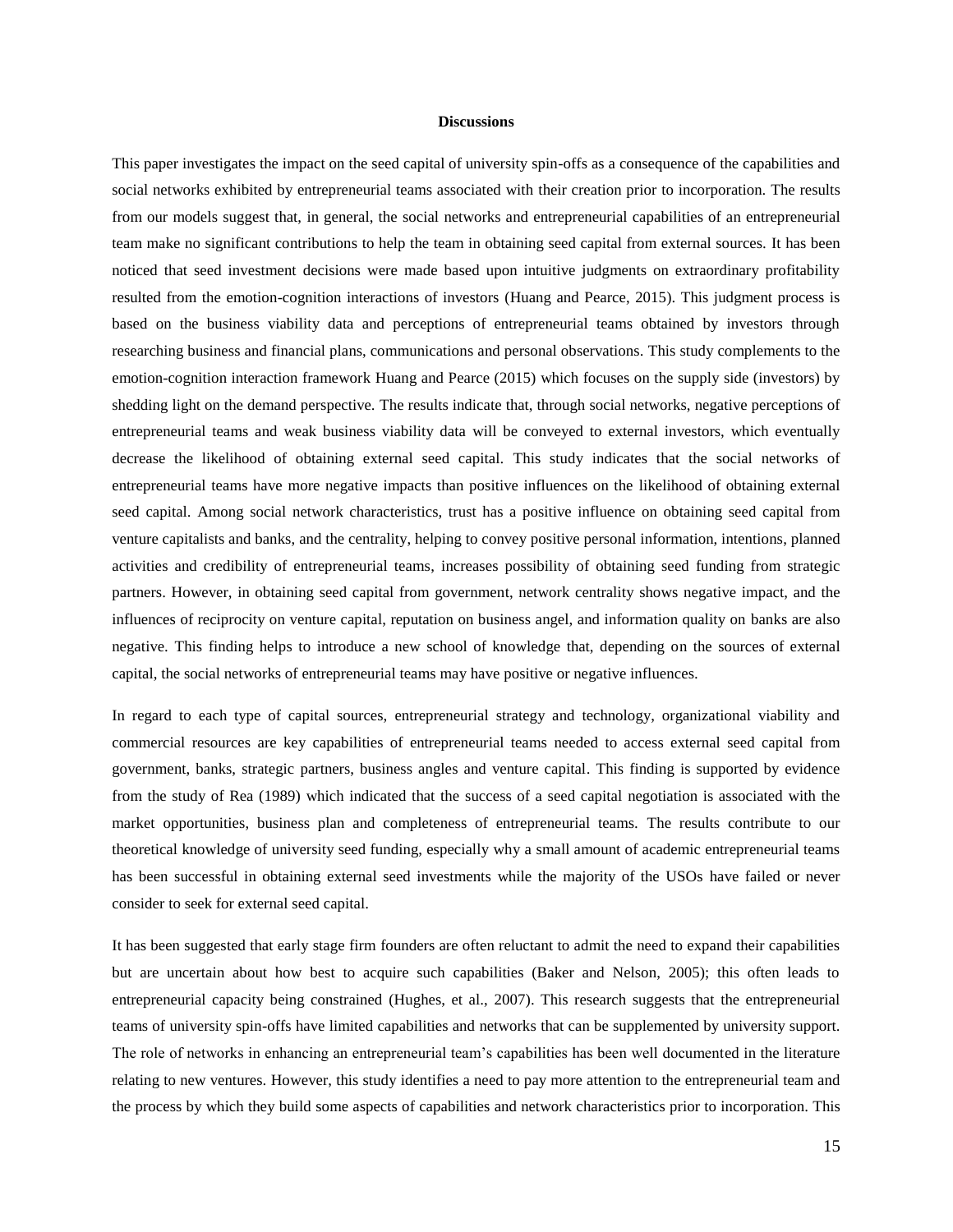## **Discussions**

This paper investigates the impact on the seed capital of university spin-offs as a consequence of the capabilities and social networks exhibited by entrepreneurial teams associated with their creation prior to incorporation. The results from our models suggest that, in general, the social networks and entrepreneurial capabilities of an entrepreneurial team make no significant contributions to help the team in obtaining seed capital from external sources. It has been noticed that seed investment decisions were made based upon intuitive judgments on extraordinary profitability resulted from the emotion-cognition interactions of investors [\(Huang and Pearce, 2015\)](#page-18-3). This judgment process is based on the business viability data and perceptions of entrepreneurial teams obtained by investors through researching business and financial plans, communications and personal observations. This study complements to the emotion-cognition interaction framework [Huang and Pearce \(2015\)](#page-18-3) which focuses on the supply side (investors) by shedding light on the demand perspective. The results indicate that, through social networks, negative perceptions of entrepreneurial teams and weak business viability data will be conveyed to external investors, which eventually decrease the likelihood of obtaining external seed capital. This study indicates that the social networks of entrepreneurial teams have more negative impacts than positive influences on the likelihood of obtaining external seed capital. Among social network characteristics, trust has a positive influence on obtaining seed capital from venture capitalists and banks, and the centrality, helping to convey positive personal information, intentions, planned activities and credibility of entrepreneurial teams, increases possibility of obtaining seed funding from strategic partners. However, in obtaining seed capital from government, network centrality shows negative impact, and the influences of reciprocity on venture capital, reputation on business angel, and information quality on banks are also negative. This finding helps to introduce a new school of knowledge that, depending on the sources of external capital, the social networks of entrepreneurial teams may have positive or negative influences.

In regard to each type of capital sources, entrepreneurial strategy and technology, organizational viability and commercial resources are key capabilities of entrepreneurial teams needed to access external seed capital from government, banks, strategic partners, business angles and venture capital. This finding is supported by evidence from the study of [Rea \(1989\)](#page-20-22) which indicated that the success of a seed capital negotiation is associated with the market opportunities, business plan and completeness of entrepreneurial teams. The results contribute to our theoretical knowledge of university seed funding, especially why a small amount of academic entrepreneurial teams has been successful in obtaining external seed investments while the majority of the USOs have failed or never consider to seek for external seed capital.

It has been suggested that early stage firm founders are often reluctant to admit the need to expand their capabilities but are uncertain about how best to acquire such capabilities (Baker and Nelson, 2005); this often leads to entrepreneurial capacity being constrained [\(Hughes, et al., 2007\)](#page-18-22). This research suggests that the entrepreneurial teams of university spin-offs have limited capabilities and networks that can be supplemented by university support. The role of networks in enhancing an entrepreneurial team's capabilities has been well documented in the literature relating to new ventures. However, this study identifies a need to pay more attention to the entrepreneurial team and the process by which they build some aspects of capabilities and network characteristics prior to incorporation. This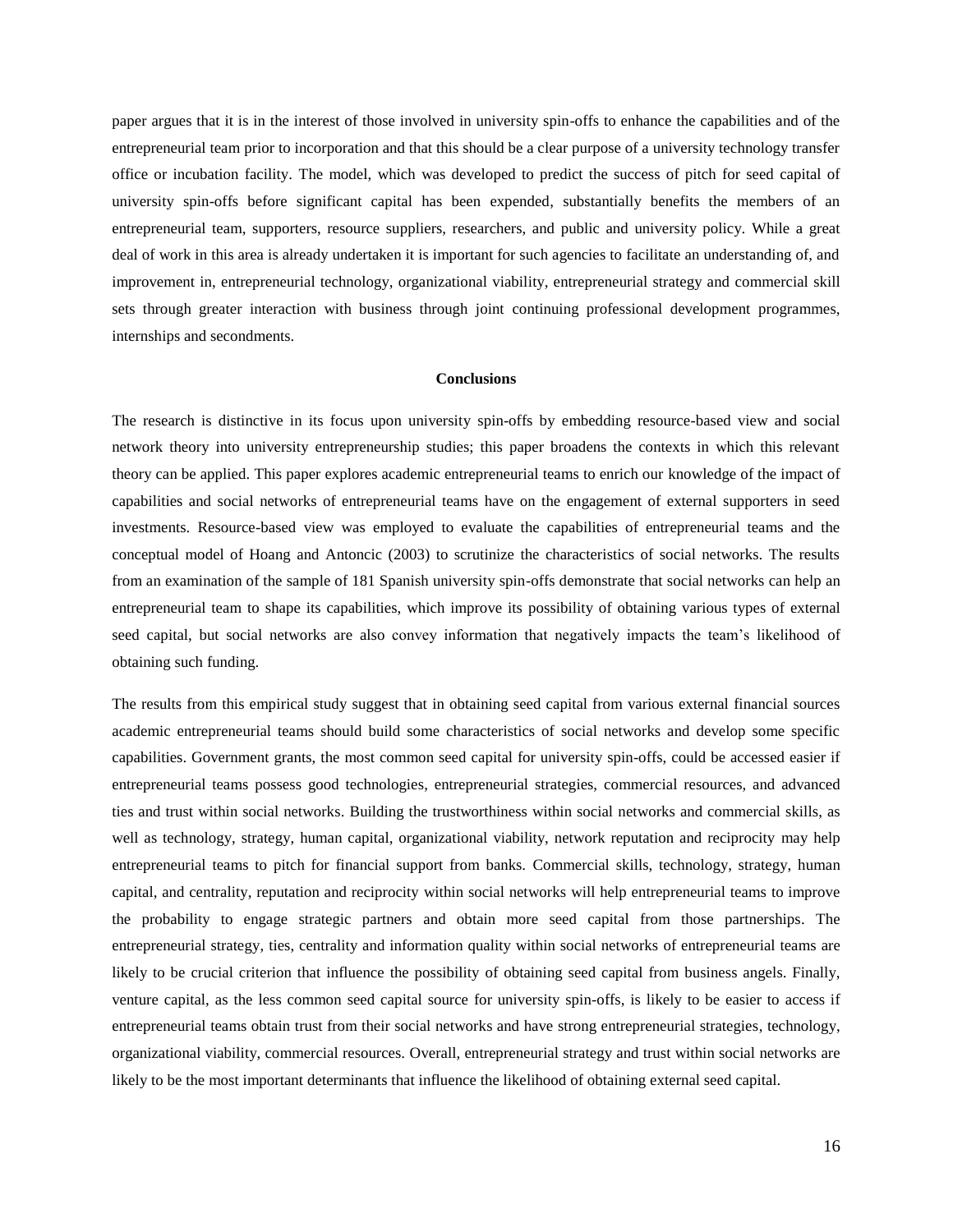paper argues that it is in the interest of those involved in university spin-offs to enhance the capabilities and of the entrepreneurial team prior to incorporation and that this should be a clear purpose of a university technology transfer office or incubation facility. The model, which was developed to predict the success of pitch for seed capital of university spin-offs before significant capital has been expended, substantially benefits the members of an entrepreneurial team, supporters, resource suppliers, researchers, and public and university policy. While a great deal of work in this area is already undertaken it is important for such agencies to facilitate an understanding of, and improvement in, entrepreneurial technology, organizational viability, entrepreneurial strategy and commercial skill sets through greater interaction with business through joint continuing professional development programmes, internships and secondments.

## **Conclusions**

The research is distinctive in its focus upon university spin-offs by embedding resource-based view and social network theory into university entrepreneurship studies; this paper broadens the contexts in which this relevant theory can be applied. This paper explores academic entrepreneurial teams to enrich our knowledge of the impact of capabilities and social networks of entrepreneurial teams have on the engagement of external supporters in seed investments. Resource-based view was employed to evaluate the capabilities of entrepreneurial teams and the conceptual model of Hoang and Antoncic (2003) to scrutinize the characteristics of social networks. The results from an examination of the sample of 181 Spanish university spin-offs demonstrate that social networks can help an entrepreneurial team to shape its capabilities, which improve its possibility of obtaining various types of external seed capital, but social networks are also convey information that negatively impacts the team's likelihood of obtaining such funding.

The results from this empirical study suggest that in obtaining seed capital from various external financial sources academic entrepreneurial teams should build some characteristics of social networks and develop some specific capabilities. Government grants, the most common seed capital for university spin-offs, could be accessed easier if entrepreneurial teams possess good technologies, entrepreneurial strategies, commercial resources, and advanced ties and trust within social networks. Building the trustworthiness within social networks and commercial skills, as well as technology, strategy, human capital, organizational viability, network reputation and reciprocity may help entrepreneurial teams to pitch for financial support from banks. Commercial skills, technology, strategy, human capital, and centrality, reputation and reciprocity within social networks will help entrepreneurial teams to improve the probability to engage strategic partners and obtain more seed capital from those partnerships. The entrepreneurial strategy, ties, centrality and information quality within social networks of entrepreneurial teams are likely to be crucial criterion that influence the possibility of obtaining seed capital from business angels. Finally, venture capital, as the less common seed capital source for university spin-offs, is likely to be easier to access if entrepreneurial teams obtain trust from their social networks and have strong entrepreneurial strategies, technology, organizational viability, commercial resources. Overall, entrepreneurial strategy and trust within social networks are likely to be the most important determinants that influence the likelihood of obtaining external seed capital.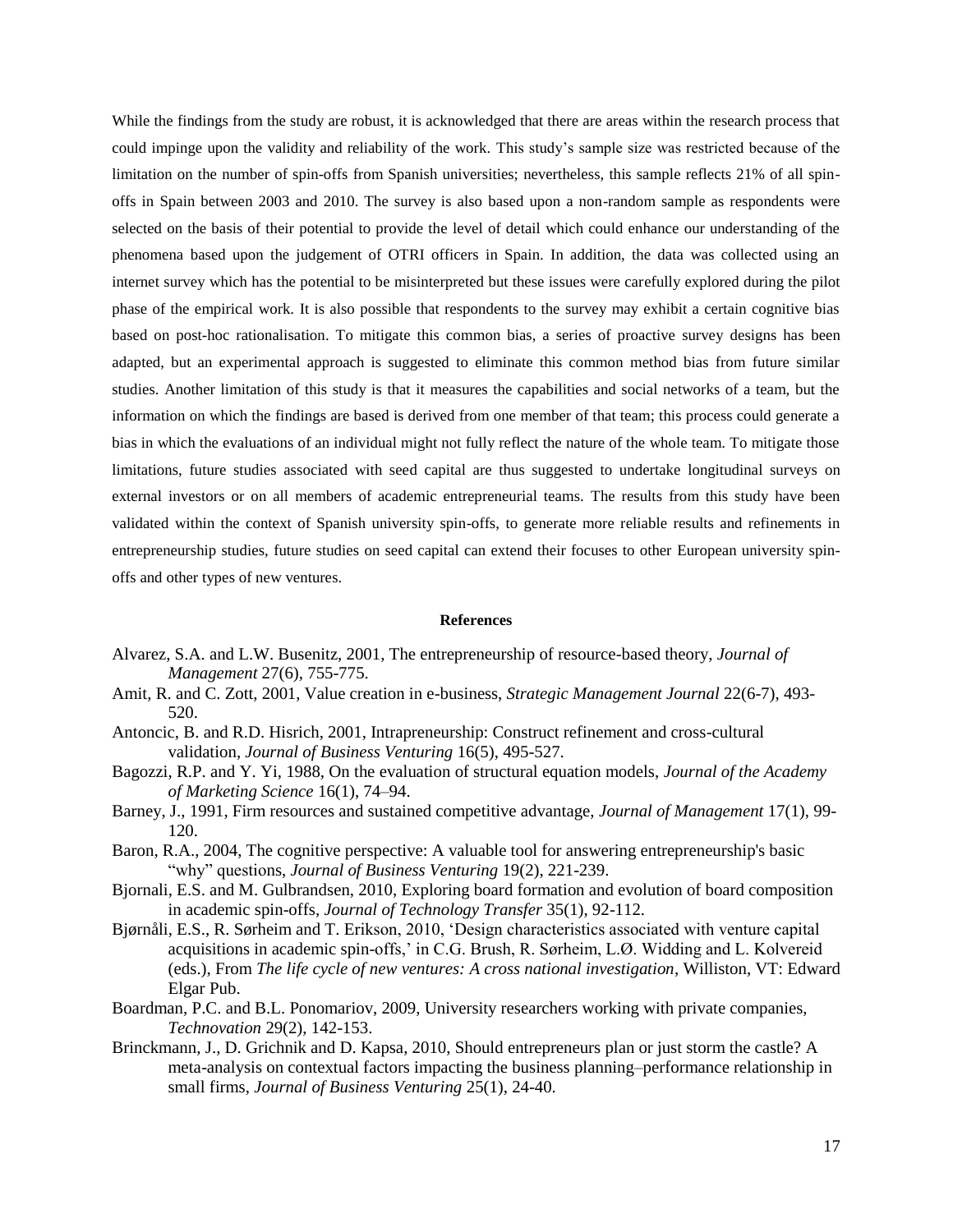While the findings from the study are robust, it is acknowledged that there are areas within the research process that could impinge upon the validity and reliability of the work. This study's sample size was restricted because of the limitation on the number of spin-offs from Spanish universities; nevertheless, this sample reflects 21% of all spinoffs in Spain between 2003 and 2010. The survey is also based upon a non-random sample as respondents were selected on the basis of their potential to provide the level of detail which could enhance our understanding of the phenomena based upon the judgement of OTRI officers in Spain. In addition, the data was collected using an internet survey which has the potential to be misinterpreted but these issues were carefully explored during the pilot phase of the empirical work. It is also possible that respondents to the survey may exhibit a certain cognitive bias based on post-hoc rationalisation. To mitigate this common bias, a series of proactive survey designs has been adapted, but an experimental approach is suggested to eliminate this common method bias from future similar studies. Another limitation of this study is that it measures the capabilities and social networks of a team, but the information on which the findings are based is derived from one member of that team; this process could generate a bias in which the evaluations of an individual might not fully reflect the nature of the whole team. To mitigate those limitations, future studies associated with seed capital are thus suggested to undertake longitudinal surveys on external investors or on all members of academic entrepreneurial teams. The results from this study have been validated within the context of Spanish university spin-offs, to generate more reliable results and refinements in entrepreneurship studies, future studies on seed capital can extend their focuses to other European university spinoffs and other types of new ventures.

#### **References**

- <span id="page-16-8"></span>Alvarez, S.A. and L.W. Busenitz, 2001, The entrepreneurship of resource-based theory, *Journal of Management* 27(6), 755-775.
- <span id="page-16-2"></span>Amit, R. and C. Zott, 2001, Value creation in e-business, *Strategic Management Journal* 22(6-7), 493- 520.
- <span id="page-16-7"></span>Antoncic, B. and R.D. Hisrich, 2001, Intrapreneurship: Construct refinement and cross-cultural validation, *Journal of Business Venturing* 16(5), 495-527.
- <span id="page-16-9"></span>Bagozzi, R.P. and Y. Yi, 1988, On the evaluation of structural equation models, *Journal of the Academy of Marketing Science* 16(1), 74–94.
- <span id="page-16-1"></span>Barney, J., 1991, Firm resources and sustained competitive advantage, *Journal of Management* 17(1), 99- 120.
- <span id="page-16-4"></span>Baron, R.A., 2004, The cognitive perspective: A valuable tool for answering entrepreneurship's basic "why" questions, *Journal of Business Venturing* 19(2), 221-239.
- <span id="page-16-6"></span>Bjornali, E.S. and M. Gulbrandsen, 2010, Exploring board formation and evolution of board composition in academic spin-offs, *Journal of Technology Transfer* 35(1), 92-112.
- <span id="page-16-0"></span>Bjørnåli, E.S., R. Sørheim and T. Erikson, 2010, 'Design characteristics associated with venture capital acquisitions in academic spin-offs,' in C.G. Brush, R. Sørheim, L.Ø. Widding and L. Kolvereid (eds.), From *The life cycle of new ventures: A cross national investigation*, Williston, VT: Edward Elgar Pub.
- <span id="page-16-3"></span>Boardman, P.C. and B.L. Ponomariov, 2009, University researchers working with private companies, *Technovation* 29(2), 142-153.
- <span id="page-16-5"></span>Brinckmann, J., D. Grichnik and D. Kapsa, 2010, Should entrepreneurs plan or just storm the castle? A meta-analysis on contextual factors impacting the business planning–performance relationship in small firms, *Journal of Business Venturing* 25(1), 24-40.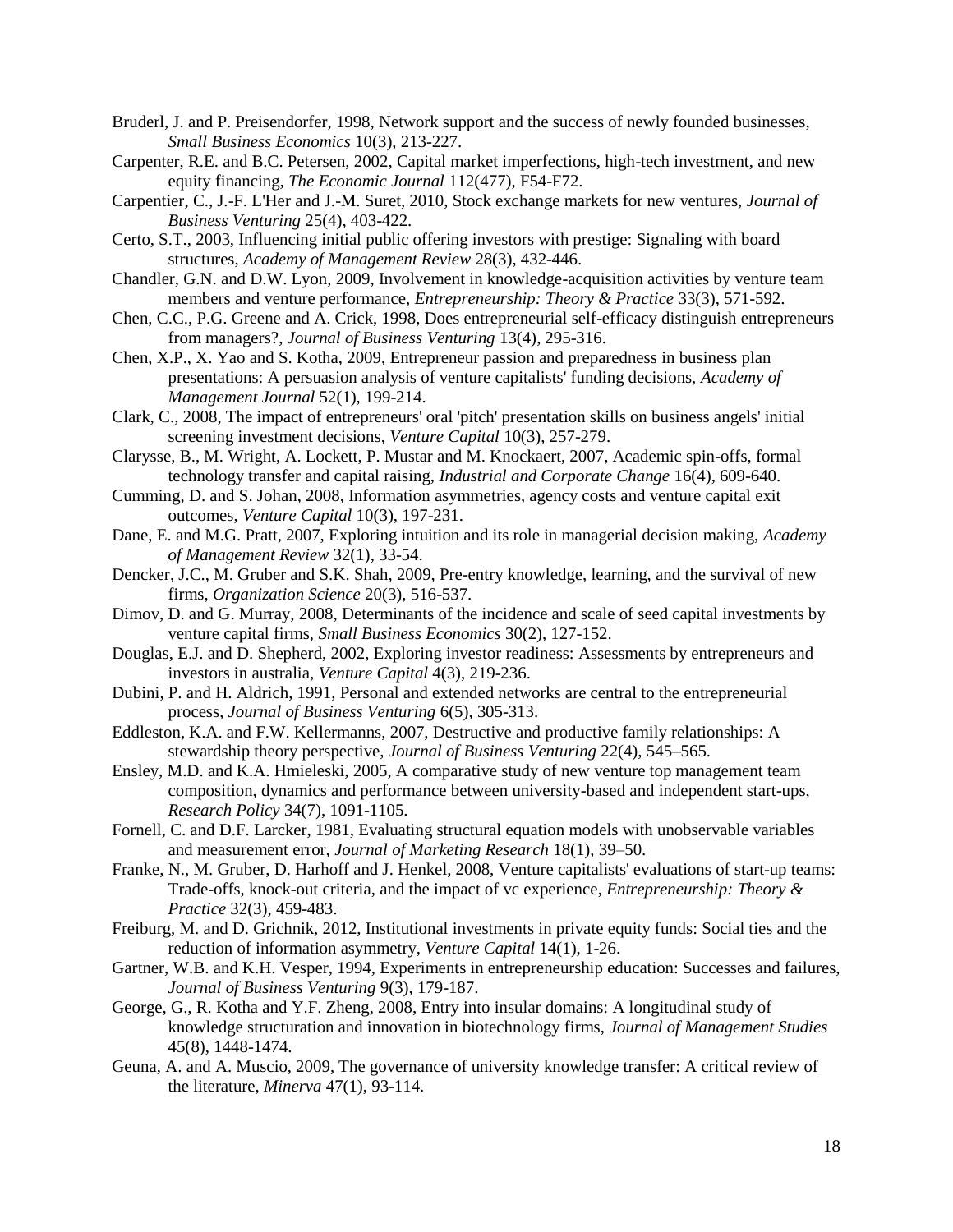- <span id="page-17-18"></span>Bruderl, J. and P. Preisendorfer, 1998, Network support and the success of newly founded businesses, *Small Business Economics* 10(3), 213-227.
- <span id="page-17-5"></span>Carpenter, R.E. and B.C. Petersen, 2002, Capital market imperfections, high-tech investment, and new equity financing, *The Economic Journal* 112(477), F54-F72.
- <span id="page-17-15"></span>Carpentier, C., J.-F. L'Her and J.-M. Suret, 2010, Stock exchange markets for new ventures, *Journal of Business Venturing* 25(4), 403-422.
- <span id="page-17-6"></span>Certo, S.T., 2003, Influencing initial public offering investors with prestige: Signaling with board structures, *Academy of Management Review* 28(3), 432-446.
- <span id="page-17-19"></span>Chandler, G.N. and D.W. Lyon, 2009, Involvement in knowledge-acquisition activities by venture team members and venture performance, *Entrepreneurship: Theory & Practice* 33(3), 571-592.
- <span id="page-17-11"></span>Chen, C.C., P.G. Greene and A. Crick, 1998, Does entrepreneurial self-efficacy distinguish entrepreneurs from managers?, *Journal of Business Venturing* 13(4), 295-316.
- <span id="page-17-12"></span>Chen, X.P., X. Yao and S. Kotha, 2009, Entrepreneur passion and preparedness in business plan presentations: A persuasion analysis of venture capitalists' funding decisions, *Academy of Management Journal* 52(1), 199-214.
- <span id="page-17-1"></span>Clark, C., 2008, The impact of entrepreneurs' oral 'pitch' presentation skills on business angels' initial screening investment decisions, *Venture Capital* 10(3), 257-279.
- <span id="page-17-3"></span>Clarysse, B., M. Wright, A. Lockett, P. Mustar and M. Knockaert, 2007, Academic spin-offs, formal technology transfer and capital raising, *Industrial and Corporate Change* 16(4), 609-640.
- <span id="page-17-7"></span>Cumming, D. and S. Johan, 2008, Information asymmetries, agency costs and venture capital exit outcomes, *Venture Capital* 10(3), 197-231.
- <span id="page-17-9"></span>Dane, E. and M.G. Pratt, 2007, Exploring intuition and its role in managerial decision making, *Academy of Management Review* 32(1), 33-54.
- <span id="page-17-13"></span>Dencker, J.C., M. Gruber and S.K. Shah, 2009, Pre-entry knowledge, learning, and the survival of new firms, *Organization Science* 20(3), 516-537.
- <span id="page-17-4"></span>Dimov, D. and G. Murray, 2008, Determinants of the incidence and scale of seed capital investments by venture capital firms, *Small Business Economics* 30(2), 127-152.
- <span id="page-17-0"></span>Douglas, E.J. and D. Shepherd, 2002, Exploring investor readiness: Assessments by entrepreneurs and investors in australia, *Venture Capital* 4(3), 219-236.
- <span id="page-17-20"></span>Dubini, P. and H. Aldrich, 1991, Personal and extended networks are central to the entrepreneurial process, *Journal of Business Venturing* 6(5), 305-313.
- <span id="page-17-22"></span>Eddleston, K.A. and F.W. Kellermanns, 2007, Destructive and productive family relationships: A stewardship theory perspective, *Journal of Business Venturing* 22(4), 545–565.
- <span id="page-17-16"></span>Ensley, M.D. and K.A. Hmieleski, 2005, A comparative study of new venture top management team composition, dynamics and performance between university-based and independent start-ups, *Research Policy* 34(7), 1091-1105.
- <span id="page-17-21"></span>Fornell, C. and D.F. Larcker, 1981, Evaluating structural equation models with unobservable variables and measurement error, *Journal of Marketing Research* 18(1), 39–50.
- <span id="page-17-2"></span>Franke, N., M. Gruber, D. Harhoff and J. Henkel, 2008, Venture capitalists' evaluations of start-up teams: Trade-offs, knock-out criteria, and the impact of vc experience, *Entrepreneurship: Theory & Practice* 32(3), 459-483.
- <span id="page-17-14"></span>Freiburg, M. and D. Grichnik, 2012, Institutional investments in private equity funds: Social ties and the reduction of information asymmetry, *Venture Capital* 14(1), 1-26.
- <span id="page-17-10"></span>Gartner, W.B. and K.H. Vesper, 1994, Experiments in entrepreneurship education: Successes and failures, *Journal of Business Venturing* 9(3), 179-187.
- <span id="page-17-8"></span>George, G., R. Kotha and Y.F. Zheng, 2008, Entry into insular domains: A longitudinal study of knowledge structuration and innovation in biotechnology firms, *Journal of Management Studies*  45(8), 1448-1474.
- <span id="page-17-17"></span>Geuna, A. and A. Muscio, 2009, The governance of university knowledge transfer: A critical review of the literature, *Minerva* 47(1), 93-114.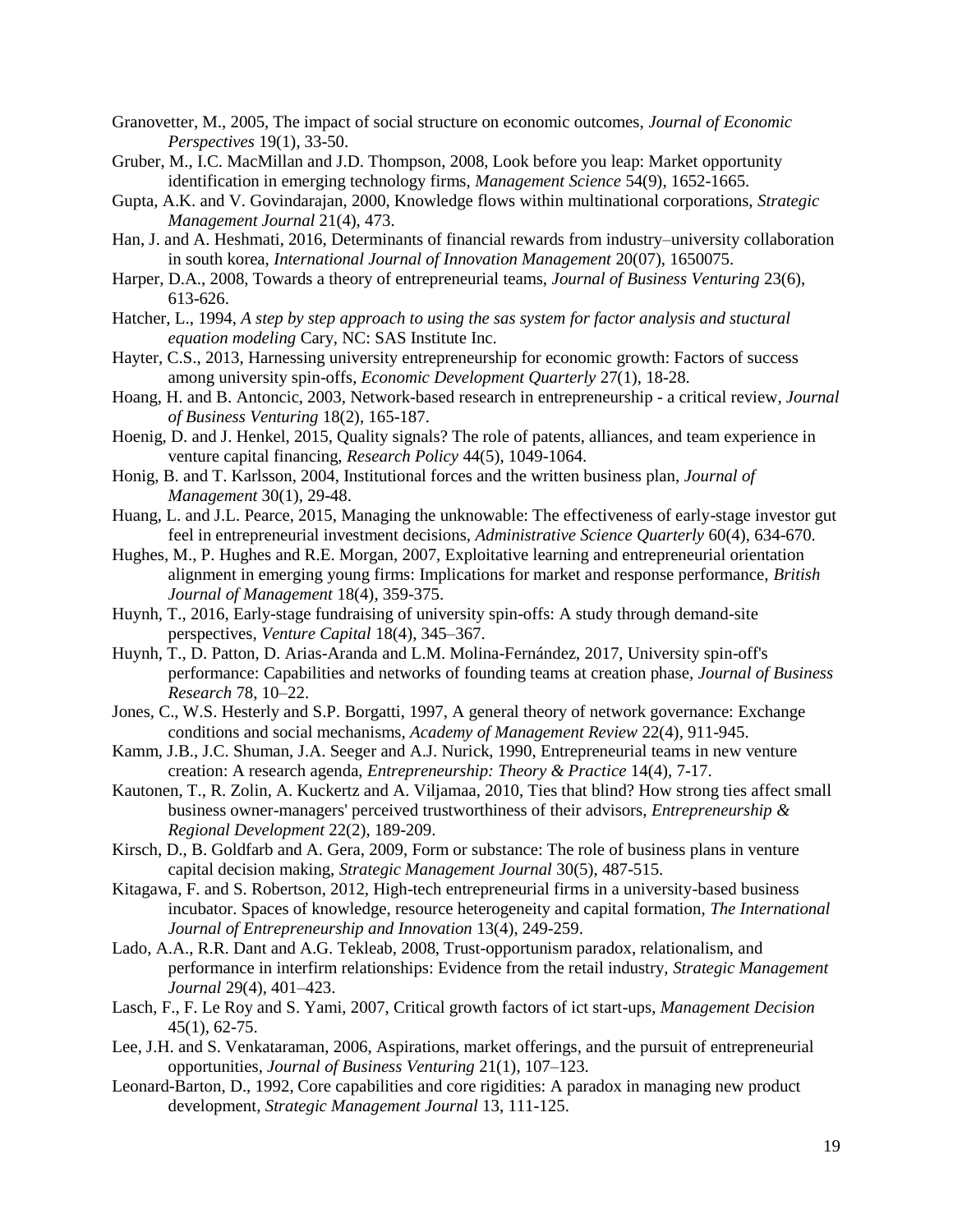- <span id="page-18-13"></span>Granovetter, M., 2005, The impact of social structure on economic outcomes, *Journal of Economic Perspectives* 19(1), 33-50.
- <span id="page-18-9"></span>Gruber, M., I.C. MacMillan and J.D. Thompson, 2008, Look before you leap: Market opportunity identification in emerging technology firms, *Management Science* 54(9), 1652-1665.
- <span id="page-18-19"></span>Gupta, A.K. and V. Govindarajan, 2000, Knowledge flows within multinational corporations, *Strategic Management Journal* 21(4), 473.
- <span id="page-18-11"></span>Han, J. and A. Heshmati, 2016, Determinants of financial rewards from industry–university collaboration in south korea, *International Journal of Innovation Management* 20(07), 1650075.
- <span id="page-18-5"></span>Harper, D.A., 2008, Towards a theory of entrepreneurial teams, *Journal of Business Venturing* 23(6), 613-626.
- <span id="page-18-20"></span>Hatcher, L., 1994, *A step by step approach to using the sas system for factor analysis and stuctural equation modeling* Cary, NC: SAS Institute Inc.
- <span id="page-18-15"></span>Hayter, C.S., 2013, Harnessing university entrepreneurship for economic growth: Factors of success among university spin-offs, *Economic Development Quarterly* 27(1), 18-28.
- <span id="page-18-4"></span>Hoang, H. and B. Antoncic, 2003, Network-based research in entrepreneurship - a critical review, *Journal of Business Venturing* 18(2), 165-187.
- <span id="page-18-7"></span>Hoenig, D. and J. Henkel, 2015, Quality signals? The role of patents, alliances, and team experience in venture capital financing, *Research Policy* 44(5), 1049-1064.
- <span id="page-18-10"></span>Honig, B. and T. Karlsson, 2004, Institutional forces and the written business plan, *Journal of Management* 30(1), 29-48.
- <span id="page-18-3"></span>Huang, L. and J.L. Pearce, 2015, Managing the unknowable: The effectiveness of early-stage investor gut feel in entrepreneurial investment decisions, *Administrative Science Quarterly* 60(4), 634-670.
- <span id="page-18-22"></span>Hughes, M., P. Hughes and R.E. Morgan, 2007, Exploitative learning and entrepreneurial orientation alignment in emerging young firms: Implications for market and response performance, *British Journal of Management* 18(4), 359-375.
- <span id="page-18-2"></span>Huynh, T., 2016, Early-stage fundraising of university spin-offs: A study through demand-site perspectives, *Venture Capital* 18(4), 345–367.
- <span id="page-18-0"></span>Huynh, T., D. Patton, D. Arias-Aranda and L.M. Molina-Fernández, 2017, University spin-off's performance: Capabilities and networks of founding teams at creation phase, *Journal of Business Research* 78, 10–22.
- <span id="page-18-17"></span>Jones, C., W.S. Hesterly and S.P. Borgatti, 1997, A general theory of network governance: Exchange conditions and social mechanisms, *Academy of Management Review* 22(4), 911-945.
- <span id="page-18-1"></span>Kamm, J.B., J.C. Shuman, J.A. Seeger and A.J. Nurick, 1990, Entrepreneurial teams in new venture creation: A research agenda, *Entrepreneurship: Theory & Practice* 14(4), 7-17.
- <span id="page-18-14"></span>Kautonen, T., R. Zolin, A. Kuckertz and A. Viljamaa, 2010, Ties that blind? How strong ties affect small business owner-managers' perceived trustworthiness of their advisors, *Entrepreneurship & Regional Development* 22(2), 189-209.
- <span id="page-18-8"></span>Kirsch, D., B. Goldfarb and A. Gera, 2009, Form or substance: The role of business plans in venture capital decision making, *Strategic Management Journal* 30(5), 487-515.
- <span id="page-18-16"></span>Kitagawa, F. and S. Robertson, 2012, High-tech entrepreneurial firms in a university-based business incubator. Spaces of knowledge, resource heterogeneity and capital formation, *The International Journal of Entrepreneurship and Innovation* 13(4), 249-259.
- <span id="page-18-21"></span>Lado, A.A., R.R. Dant and A.G. Tekleab, 2008, Trust-opportunism paradox, relationalism, and performance in interfirm relationships: Evidence from the retail industry, *Strategic Management Journal* 29(4), 401–423.
- <span id="page-18-6"></span>Lasch, F., F. Le Roy and S. Yami, 2007, Critical growth factors of ict start-ups, *Management Decision*  45(1), 62-75.
- <span id="page-18-12"></span>Lee, J.H. and S. Venkataraman, 2006, Aspirations, market offerings, and the pursuit of entrepreneurial opportunities, *Journal of Business Venturing* 21(1), 107–123.
- <span id="page-18-18"></span>Leonard-Barton, D., 1992, Core capabilities and core rigidities: A paradox in managing new product development, *Strategic Management Journal* 13, 111-125.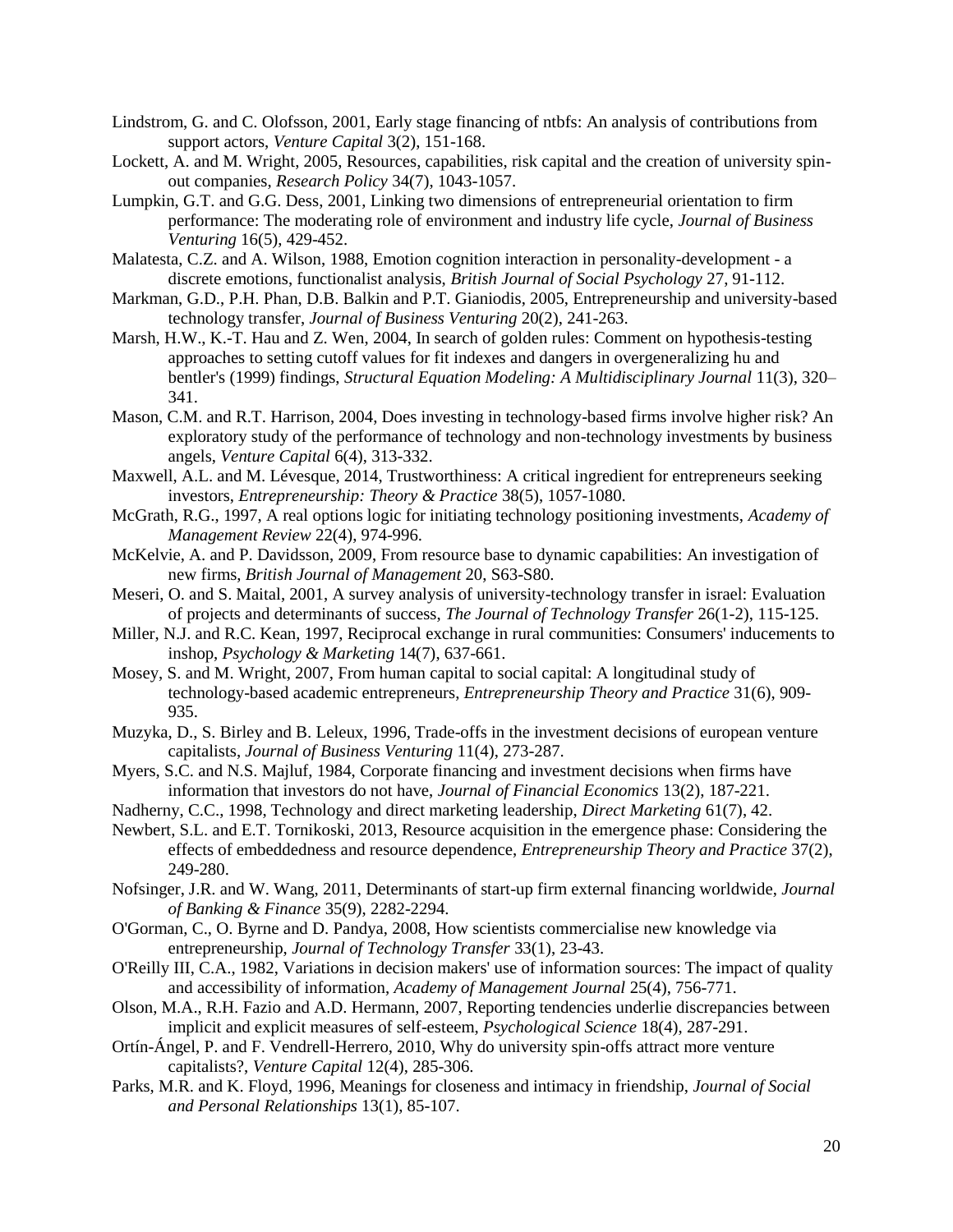- <span id="page-19-0"></span>Lindstrom, G. and C. Olofsson, 2001, Early stage financing of ntbfs: An analysis of contributions from support actors, *Venture Capital* 3(2), 151-168.
- <span id="page-19-6"></span>Lockett, A. and M. Wright, 2005, Resources, capabilities, risk capital and the creation of university spinout companies, *Research Policy* 34(7), 1043-1057.
- <span id="page-19-16"></span>Lumpkin, G.T. and G.G. Dess, 2001, Linking two dimensions of entrepreneurial orientation to firm performance: The moderating role of environment and industry life cycle, *Journal of Business Venturing* 16(5), 429-452.
- <span id="page-19-5"></span>Malatesta, C.Z. and A. Wilson, 1988, Emotion cognition interaction in personality-development - a discrete emotions, functionalist analysis, *British Journal of Social Psychology* 27, 91-112.
- <span id="page-19-14"></span>Markman, G.D., P.H. Phan, D.B. Balkin and P.T. Gianiodis, 2005, Entrepreneurship and university-based technology transfer, *Journal of Business Venturing* 20(2), 241-263.
- <span id="page-19-22"></span>Marsh, H.W., K.-T. Hau and Z. Wen, 2004, In search of golden rules: Comment on hypothesis-testing approaches to setting cutoff values for fit indexes and dangers in overgeneralizing hu and bentler's (1999) findings, *Structural Equation Modeling: A Multidisciplinary Journal* 11(3), 320– 341.
- <span id="page-19-1"></span>Mason, C.M. and R.T. Harrison, 2004, Does investing in technology-based firms involve higher risk? An exploratory study of the performance of technology and non-technology investments by business angels, *Venture Capital* 6(4), 313-332.
- <span id="page-19-8"></span>Maxwell, A.L. and M. Lévesque, 2014, Trustworthiness: A critical ingredient for entrepreneurs seeking investors, *Entrepreneurship: Theory & Practice* 38(5), 1057-1080.
- <span id="page-19-15"></span>McGrath, R.G., 1997, A real options logic for initiating technology positioning investments, *Academy of Management Review* 22(4), 974-996.
- <span id="page-19-17"></span>McKelvie, A. and P. Davidsson, 2009, From resource base to dynamic capabilities: An investigation of new firms, *British Journal of Management* 20, S63-S80.
- <span id="page-19-3"></span>Meseri, O. and S. Maital, 2001, A survey analysis of university-technology transfer in israel: Evaluation of projects and determinants of success, *The Journal of Technology Transfer* 26(1-2), 115-125.
- <span id="page-19-20"></span>Miller, N.J. and R.C. Kean, 1997, Reciprocal exchange in rural communities: Consumers' inducements to inshop, *Psychology & Marketing* 14(7), 637-661.
- <span id="page-19-12"></span>Mosey, S. and M. Wright, 2007, From human capital to social capital: A longitudinal study of technology-based academic entrepreneurs, *Entrepreneurship Theory and Practice* 31(6), 909- 935.
- <span id="page-19-2"></span>Muzyka, D., S. Birley and B. Leleux, 1996, Trade-offs in the investment decisions of european venture capitalists, *Journal of Business Venturing* 11(4), 273-287.
- <span id="page-19-7"></span>Myers, S.C. and N.S. Majluf, 1984, Corporate financing and investment decisions when firms have information that investors do not have, *Journal of Financial Economics* 13(2), 187-221.
- <span id="page-19-18"></span>Nadherny, C.C., 1998, Technology and direct marketing leadership, *Direct Marketing* 61(7), 42.
- <span id="page-19-11"></span>Newbert, S.L. and E.T. Tornikoski, 2013, Resource acquisition in the emergence phase: Considering the effects of embeddedness and resource dependence, *Entrepreneurship Theory and Practice* 37(2), 249-280.
- <span id="page-19-10"></span>Nofsinger, J.R. and W. Wang, 2011, Determinants of start-up firm external financing worldwide, *Journal of Banking & Finance* 35(9), 2282-2294.
- <span id="page-19-13"></span>O'Gorman, C., O. Byrne and D. Pandya, 2008, How scientists commercialise new knowledge via entrepreneurship, *Journal of Technology Transfer* 33(1), 23-43.
- <span id="page-19-21"></span>O'Reilly III, C.A., 1982, Variations in decision makers' use of information sources: The impact of quality and accessibility of information, *Academy of Management Journal* 25(4), 756-771.
- <span id="page-19-9"></span>Olson, M.A., R.H. Fazio and A.D. Hermann, 2007, Reporting tendencies underlie discrepancies between implicit and explicit measures of self-esteem, *Psychological Science* 18(4), 287-291.
- <span id="page-19-4"></span>Ortín-Ángel, P. and F. Vendrell-Herrero, 2010, Why do university spin-offs attract more venture capitalists?, *Venture Capital* 12(4), 285-306.
- <span id="page-19-19"></span>Parks, M.R. and K. Floyd, 1996, Meanings for closeness and intimacy in friendship, *Journal of Social and Personal Relationships* 13(1), 85-107.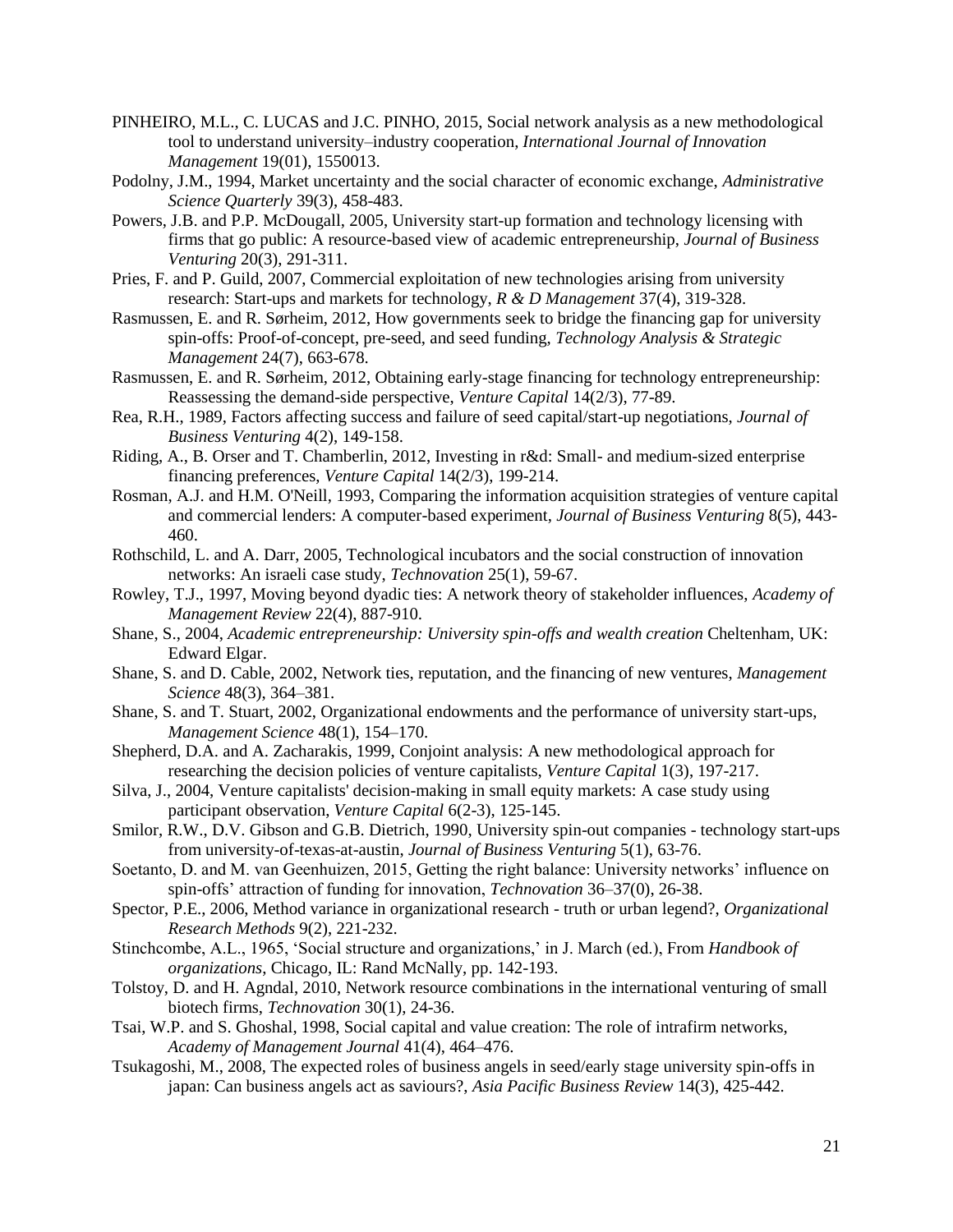- <span id="page-20-13"></span>PINHEIRO, M.L., C. LUCAS and J.C. PINHO, 2015, Social network analysis as a new methodological tool to understand university–industry cooperation, *International Journal of Innovation Management* 19(01), 1550013.
- <span id="page-20-15"></span>Podolny, J.M., 1994, Market uncertainty and the social character of economic exchange, *Administrative Science Quarterly* 39(3), 458-483.
- <span id="page-20-0"></span>Powers, J.B. and P.P. McDougall, 2005, University start-up formation and technology licensing with firms that go public: A resource-based view of academic entrepreneurship, *Journal of Business Venturing* 20(3), 291-311.
- <span id="page-20-11"></span>Pries, F. and P. Guild, 2007, Commercial exploitation of new technologies arising from university research: Start-ups and markets for technology, *R & D Management* 37(4), 319-328.
- <span id="page-20-3"></span>Rasmussen, E. and R. Sørheim, 2012, How governments seek to bridge the financing gap for university spin-offs: Proof-of-concept, pre-seed, and seed funding, *Technology Analysis & Strategic Management* 24(7), 663-678.
- <span id="page-20-8"></span>Rasmussen, E. and R. Sørheim, 2012, Obtaining early-stage financing for technology entrepreneurship: Reassessing the demand-side perspective, *Venture Capital* 14(2/3), 77-89.
- <span id="page-20-22"></span>Rea, R.H., 1989, Factors affecting success and failure of seed capital/start-up negotiations, *Journal of Business Venturing* 4(2), 149-158.
- <span id="page-20-2"></span>Riding, A., B. Orser and T. Chamberlin, 2012, Investing in r&d: Small- and medium-sized enterprise financing preferences, *Venture Capital* 14(2/3), 199-214.
- <span id="page-20-1"></span>Rosman, A.J. and H.M. O'Neill, 1993, Comparing the information acquisition strategies of venture capital and commercial lenders: A computer-based experiment, *Journal of Business Venturing* 8(5), 443- 460.
- <span id="page-20-18"></span>Rothschild, L. and A. Darr, 2005, Technological incubators and the social construction of innovation networks: An israeli case study, *Technovation* 25(1), 59-67.
- <span id="page-20-19"></span>Rowley, T.J., 1997, Moving beyond dyadic ties: A network theory of stakeholder influences, *Academy of Management Review* 22(4), 887-910.
- <span id="page-20-12"></span>Shane, S., 2004, *Academic entrepreneurship: University spin-offs and wealth creation* Cheltenham, UK: Edward Elgar.
- <span id="page-20-14"></span>Shane, S. and D. Cable, 2002, Network ties, reputation, and the financing of new ventures, *Management Science* 48(3), 364–381.
- <span id="page-20-17"></span>Shane, S. and T. Stuart, 2002, Organizational endowments and the performance of university start-ups, *Management Science* 48(1), 154–170.
- <span id="page-20-4"></span>Shepherd, D.A. and A. Zacharakis, 1999, Conjoint analysis: A new methodological approach for researching the decision policies of venture capitalists, *Venture Capital* 1(3), 197-217.
- <span id="page-20-5"></span>Silva, J., 2004, Venture capitalists' decision-making in small equity markets: A case study using participant observation, *Venture Capital* 6(2-3), 125-145.
- <span id="page-20-9"></span>Smilor, R.W., D.V. Gibson and G.B. Dietrich, 1990, University spin-out companies - technology start-ups from university-of-texas-at-austin, *Journal of Business Venturing* 5(1), 63-76.
- <span id="page-20-7"></span>Soetanto, D. and M. van Geenhuizen, 2015, Getting the right balance: University networks' influence on spin-offs' attraction of funding for innovation, *Technovation* 36–37(0), 26-38.
- <span id="page-20-21"></span>Spector, P.E., 2006, Method variance in organizational research - truth or urban legend?, *Organizational Research Methods* 9(2), 221-232.
- <span id="page-20-10"></span>Stinchcombe, A.L., 1965, 'Social structure and organizations,' in J. March (ed.), From *Handbook of organizations*, Chicago, IL: Rand McNally, pp. 142-193.
- <span id="page-20-16"></span>Tolstoy, D. and H. Agndal, 2010, Network resource combinations in the international venturing of small biotech firms, *Technovation* 30(1), 24-36.
- <span id="page-20-20"></span>Tsai, W.P. and S. Ghoshal, 1998, Social capital and value creation: The role of intrafirm networks, *Academy of Management Journal* 41(4), 464–476.
- <span id="page-20-6"></span>Tsukagoshi, M., 2008, The expected roles of business angels in seed/early stage university spin-offs in japan: Can business angels act as saviours?, *Asia Pacific Business Review* 14(3), 425-442.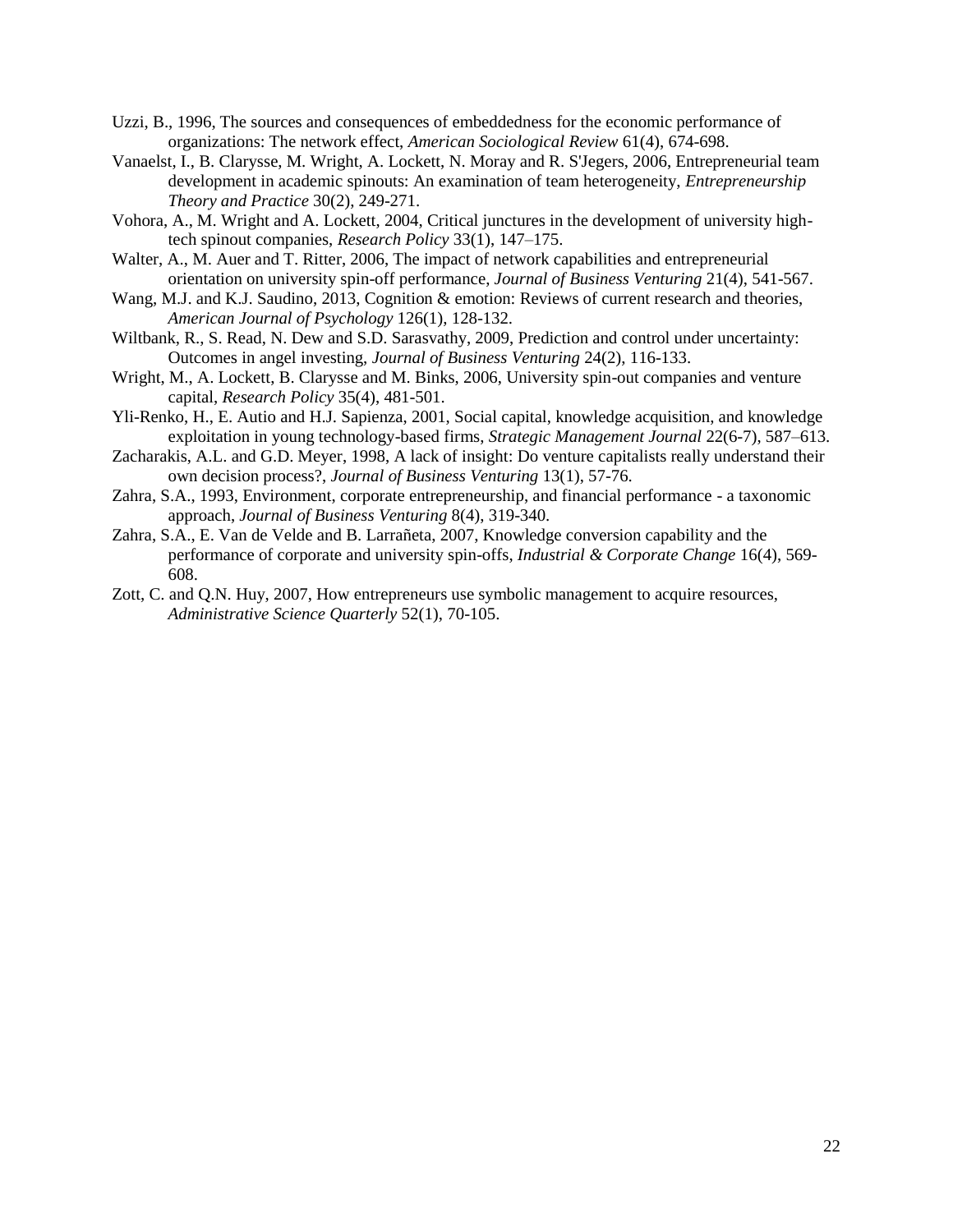- <span id="page-21-7"></span>Uzzi, B., 1996, The sources and consequences of embeddedness for the economic performance of organizations: The network effect, *American Sociological Review* 61(4), 674-698.
- <span id="page-21-8"></span>Vanaelst, I., B. Clarysse, M. Wright, A. Lockett, N. Moray and R. S'Jegers, 2006, Entrepreneurial team development in academic spinouts: An examination of team heterogeneity, *Entrepreneurship Theory and Practice* 30(2), 249-271.
- <span id="page-21-2"></span>Vohora, A., M. Wright and A. Lockett, 2004, Critical junctures in the development of university hightech spinout companies, *Research Policy* 33(1), 147–175.
- <span id="page-21-9"></span>Walter, A., M. Auer and T. Ritter, 2006, The impact of network capabilities and entrepreneurial orientation on university spin-off performance, *Journal of Business Venturing* 21(4), 541-567.
- <span id="page-21-4"></span>Wang, M.J. and K.J. Saudino, 2013, Cognition & emotion: Reviews of current research and theories, *American Journal of Psychology* 126(1), 128-132.
- <span id="page-21-0"></span>Wiltbank, R., S. Read, N. Dew and S.D. Sarasvathy, 2009, Prediction and control under uncertainty: Outcomes in angel investing, *Journal of Business Venturing* 24(2), 116-133.
- <span id="page-21-3"></span>Wright, M., A. Lockett, B. Clarysse and M. Binks, 2006, University spin-out companies and venture capital, *Research Policy* 35(4), 481-501.
- <span id="page-21-10"></span>Yli-Renko, H., E. Autio and H.J. Sapienza, 2001, Social capital, knowledge acquisition, and knowledge exploitation in young technology-based firms, *Strategic Management Journal* 22(6-7), 587–613.
- <span id="page-21-5"></span>Zacharakis, A.L. and G.D. Meyer, 1998, A lack of insight: Do venture capitalists really understand their own decision process?, *Journal of Business Venturing* 13(1), 57-76.
- <span id="page-21-11"></span>Zahra, S.A., 1993, Environment, corporate entrepreneurship, and financial performance - a taxonomic approach, *Journal of Business Venturing* 8(4), 319-340.
- <span id="page-21-1"></span>Zahra, S.A., E. Van de Velde and B. Larrañeta, 2007, Knowledge conversion capability and the performance of corporate and university spin-offs, *Industrial & Corporate Change* 16(4), 569- 608.
- <span id="page-21-6"></span>Zott, C. and Q.N. Huy, 2007, How entrepreneurs use symbolic management to acquire resources, *Administrative Science Quarterly* 52(1), 70-105.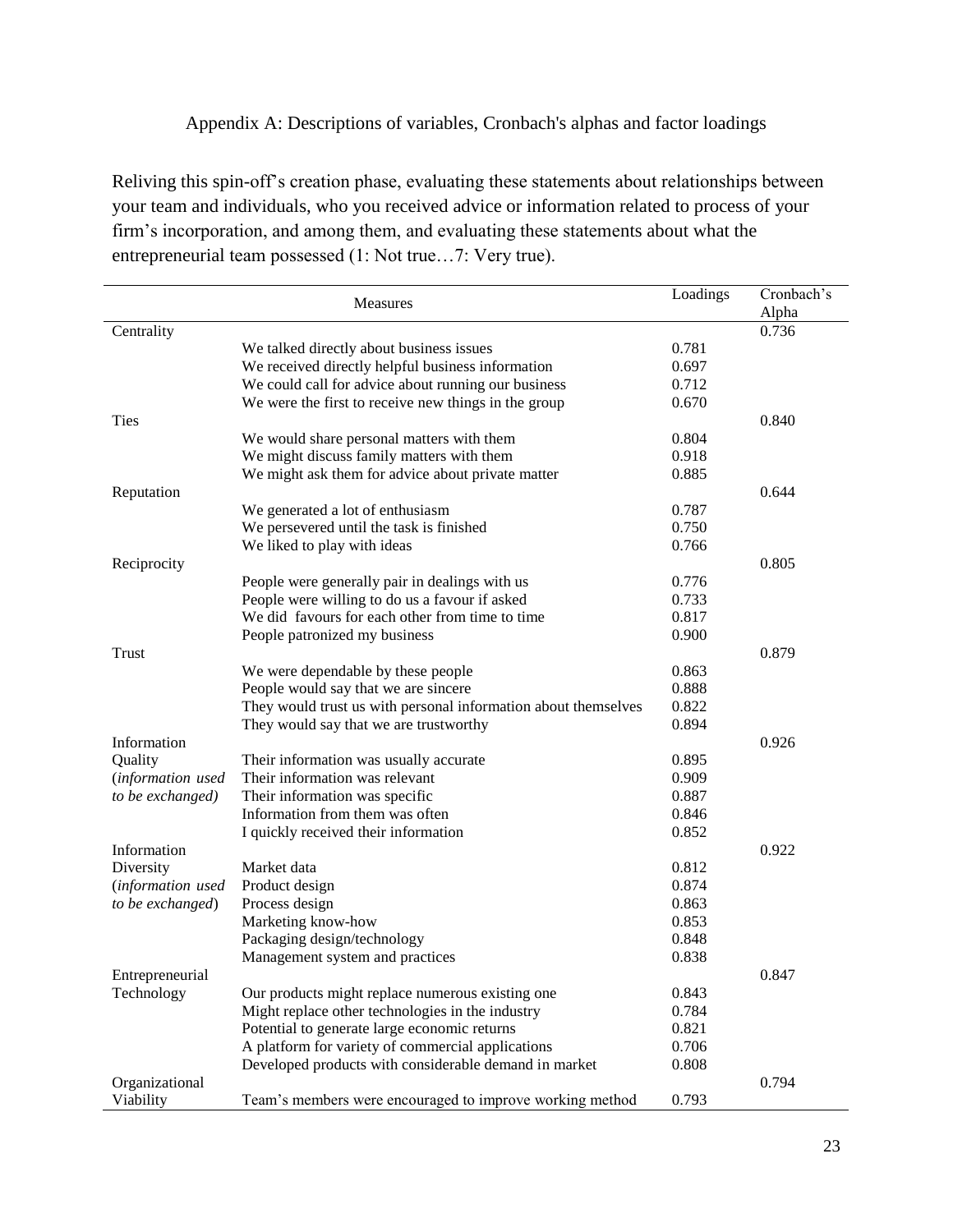# Appendix A: Descriptions of variables, Cronbach's alphas and factor loadings

Reliving this spin-off's creation phase, evaluating these statements about relationships between your team and individuals, who you received advice or information related to process of your firm's incorporation, and among them, and evaluating these statements about what the entrepreneurial team possessed (1: Not true…7: Very true).

|                   | Measures                                                       | Loadings | Cronbach's<br>Alpha |
|-------------------|----------------------------------------------------------------|----------|---------------------|
| Centrality        |                                                                |          | 0.736               |
|                   | We talked directly about business issues                       | 0.781    |                     |
|                   | We received directly helpful business information              | 0.697    |                     |
|                   | We could call for advice about running our business            | 0.712    |                     |
|                   | We were the first to receive new things in the group           | 0.670    |                     |
| <b>Ties</b>       |                                                                |          | 0.840               |
|                   | We would share personal matters with them                      | 0.804    |                     |
|                   | We might discuss family matters with them                      | 0.918    |                     |
|                   | We might ask them for advice about private matter              | 0.885    |                     |
| Reputation        |                                                                |          | 0.644               |
|                   | We generated a lot of enthusiasm                               | 0.787    |                     |
|                   | We persevered until the task is finished                       | 0.750    |                     |
|                   | We liked to play with ideas                                    | 0.766    |                     |
| Reciprocity       |                                                                |          | 0.805               |
|                   | People were generally pair in dealings with us                 | 0.776    |                     |
|                   | People were willing to do us a favour if asked                 | 0.733    |                     |
|                   | We did favours for each other from time to time                | 0.817    |                     |
|                   | People patronized my business                                  | 0.900    |                     |
| Trust             |                                                                |          | 0.879               |
|                   | We were dependable by these people                             | 0.863    |                     |
|                   | People would say that we are sincere                           | 0.888    |                     |
|                   | They would trust us with personal information about themselves | 0.822    |                     |
|                   | They would say that we are trustworthy                         | 0.894    |                     |
| Information       |                                                                |          | 0.926               |
| Quality           | Their information was usually accurate                         | 0.895    |                     |
| (information used | Their information was relevant                                 | 0.909    |                     |
| to be exchanged)  | Their information was specific                                 | 0.887    |                     |
|                   | Information from them was often                                | 0.846    |                     |
|                   | I quickly received their information                           | 0.852    |                     |
| Information       |                                                                |          | 0.922               |
| Diversity         | Market data                                                    | 0.812    |                     |
| (information used | Product design                                                 | 0.874    |                     |
| to be exchanged)  | Process design                                                 | 0.863    |                     |
|                   | Marketing know-how                                             | 0.853    |                     |
|                   | Packaging design/technology                                    | 0.848    |                     |
|                   | Management system and practices                                | 0.838    |                     |
| Entrepreneurial   |                                                                |          | 0.847               |
| Technology        | Our products might replace numerous existing one               | 0.843    |                     |
|                   | Might replace other technologies in the industry               | 0.784    |                     |
|                   | Potential to generate large economic returns                   | 0.821    |                     |
|                   | A platform for variety of commercial applications              | 0.706    |                     |
|                   | Developed products with considerable demand in market          | 0.808    |                     |
| Organizational    |                                                                |          | 0.794               |
| Viability         | Team's members were encouraged to improve working method       | 0.793    |                     |